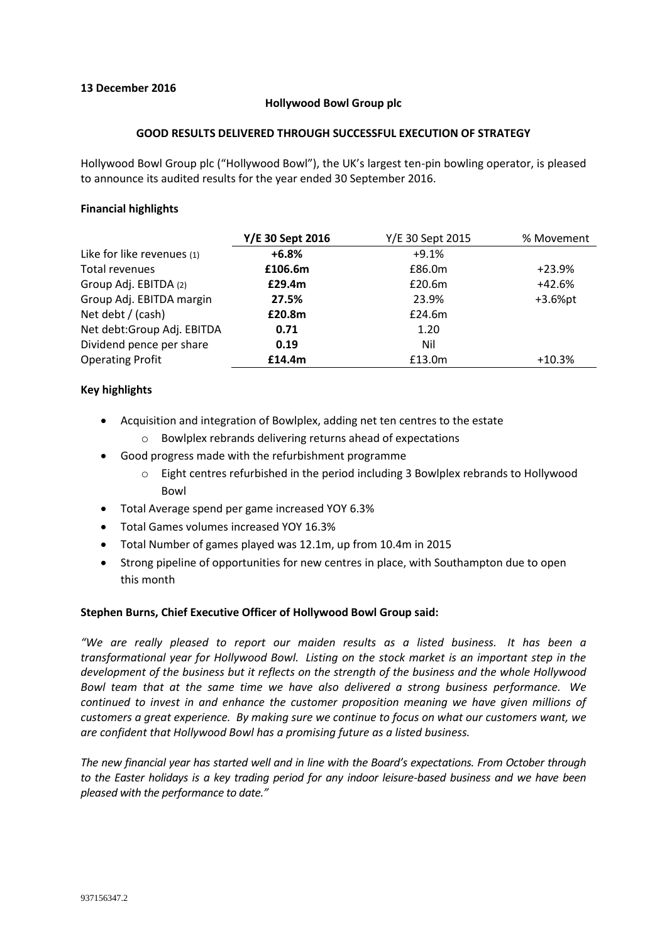# **13 December 2016**

### **Hollywood Bowl Group plc**

### **GOOD RESULTS DELIVERED THROUGH SUCCESSFUL EXECUTION OF STRATEGY**

Hollywood Bowl Group plc ("Hollywood Bowl"), the UK's largest ten-pin bowling operator, is pleased to announce its audited results for the year ended 30 September 2016.

# **Financial highlights**

|                             | Y/E 30 Sept 2016 | Y/E 30 Sept 2015 | % Movement |  |
|-----------------------------|------------------|------------------|------------|--|
| Like for like revenues (1)  | $+6.8%$          | $+9.1%$          |            |  |
| Total revenues              | £106.6m          | £86.0m           | $+23.9%$   |  |
| Group Adj. EBITDA (2)       | £29.4m           | £20.6m           | $+42.6%$   |  |
| Group Adj. EBITDA margin    | 27.5%            | 23.9%            | $+3.6%$ pt |  |
| Net debt / (cash)           | £20.8m           | £24.6m           |            |  |
| Net debt: Group Adj. EBITDA | 0.71             | 1.20             |            |  |
| Dividend pence per share    | 0.19             | Nil              |            |  |
| <b>Operating Profit</b>     | £14.4m           | £13.0m           | $+10.3%$   |  |

# **Key highlights**

- Acquisition and integration of Bowlplex, adding net ten centres to the estate
	- o Bowlplex rebrands delivering returns ahead of expectations
- Good progress made with the refurbishment programme
	- $\circ$  Eight centres refurbished in the period including 3 Bowlplex rebrands to Hollywood Bowl
- Total Average spend per game increased YOY 6.3%
- Total Games volumes increased YOY 16.3%
- Total Number of games played was 12.1m, up from 10.4m in 2015
- Strong pipeline of opportunities for new centres in place, with Southampton due to open this month

# **Stephen Burns, Chief Executive Officer of Hollywood Bowl Group said:**

*"We are really pleased to report our maiden results as a listed business. It has been a transformational year for Hollywood Bowl. Listing on the stock market is an important step in the development of the business but it reflects on the strength of the business and the whole Hollywood Bowl team that at the same time we have also delivered a strong business performance. We continued to invest in and enhance the customer proposition meaning we have given millions of customers a great experience. By making sure we continue to focus on what our customers want, we are confident that Hollywood Bowl has a promising future as a listed business.* 

*The new financial year has started well and in line with the Board's expectations. From October through to the Easter holidays is a key trading period for any indoor leisure-based business and we have been pleased with the performance to date."*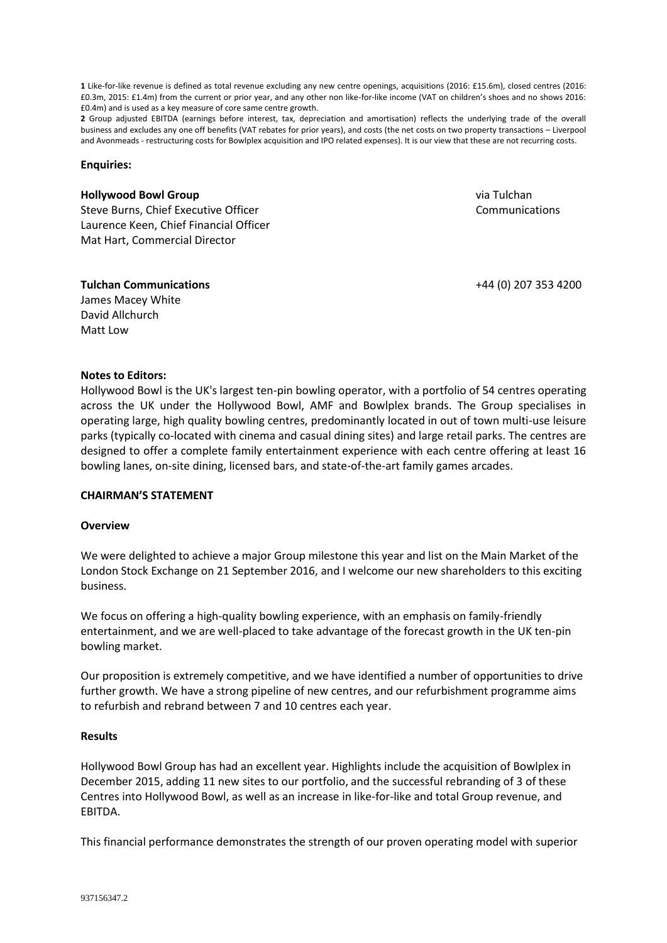**1** Like-for-like revenue is defined as total revenue excluding any new centre openings, acquisitions (2016: £15.6m), closed centres (2016: £0.3m, 2015: £1.4m) from the current or prior year, and any other non like-for-like income (VAT on children's shoes and no shows 2016: £0.4m) and is used as a key measure of core same centre growth.

**2** Group adjusted EBITDA (earnings before interest, tax, depreciation and amortisation) reflects the underlying trade of the overall business and excludes any one off benefits (VAT rebates for prior years), and costs (the net costs on two property transactions – Liverpool and Avonmeads - restructuring costs for Bowlplex acquisition and IPO related expenses). It is our view that these are not recurring costs.

#### **Enquiries:**

#### **Hollywood Bowl Group**

Steve Burns, Chief Executive Officer Laurence Keen, Chief Financial Officer Mat Hart, Commercial Director

via Tulchan Communications

+44 (0) 207 353 4200

**Tulchan Communications** James Macey White

**Notes to Editors:**

David Allchurch Matt Low

Hollywood Bowl is the UK's largest ten-pin bowling operator, with a portfolio of 54 centres operating across the UK under the Hollywood Bowl, AMF and Bowlplex brands. The Group specialises in operating large, high quality bowling centres, predominantly located in out of town multi-use leisure parks (typically co-located with cinema and casual dining sites) and large retail parks. The centres are designed to offer a complete family entertainment experience with each centre offering at least 16 bowling lanes, on-site dining, licensed bars, and state-of-the-art family games arcades.

#### **CHAIRMAN'S STATEMENT**

#### **Overview**

We were delighted to achieve a major Group milestone this year and list on the Main Market of the London Stock Exchange on 21 September 2016, and I welcome our new shareholders to this exciting business.

We focus on offering a high-quality bowling experience, with an emphasis on family-friendly entertainment, and we are well-placed to take advantage of the forecast growth in the UK ten-pin bowling market.

Our proposition is extremely competitive, and we have identified a number of opportunities to drive further growth. We have a strong pipeline of new centres, and our refurbishment programme aims to refurbish and rebrand between 7 and 10 centres each year.

#### **Results**

Hollywood Bowl Group has had an excellent year. Highlights include the acquisition of Bowlplex in December 2015, adding 11 new sites to our portfolio, and the successful rebranding of 3 of these Centres into Hollywood Bowl, as well as an increase in like-for-like and total Group revenue, and EBITDA.

This financial performance demonstrates the strength of our proven operating model with superior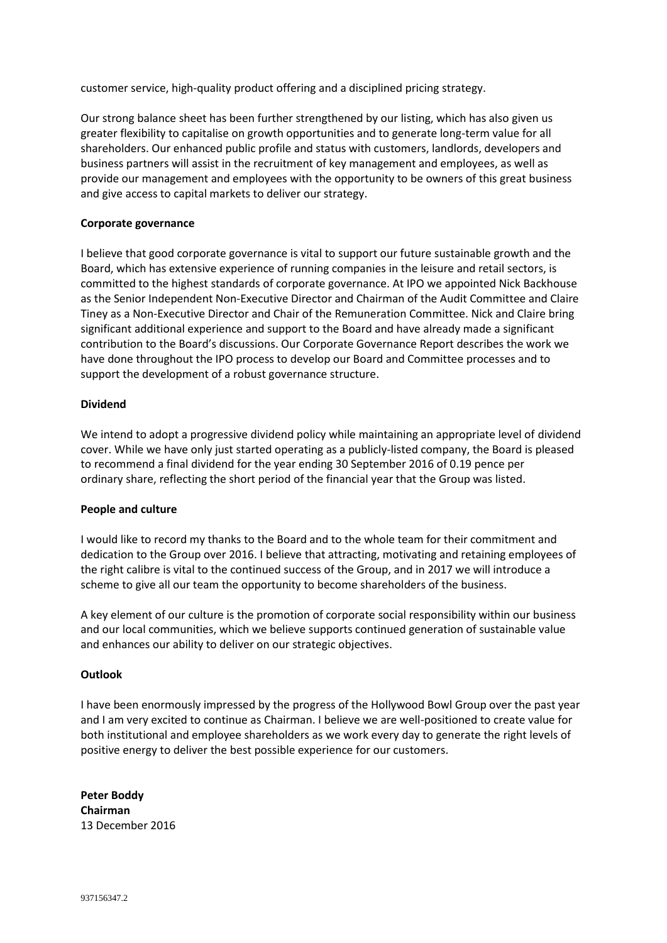customer service, high-quality product offering and a disciplined pricing strategy.

Our strong balance sheet has been further strengthened by our listing, which has also given us greater flexibility to capitalise on growth opportunities and to generate long-term value for all shareholders. Our enhanced public profile and status with customers, landlords, developers and business partners will assist in the recruitment of key management and employees, as well as provide our management and employees with the opportunity to be owners of this great business and give access to capital markets to deliver our strategy.

### **Corporate governance**

I believe that good corporate governance is vital to support our future sustainable growth and the Board, which has extensive experience of running companies in the leisure and retail sectors, is committed to the highest standards of corporate governance. At IPO we appointed Nick Backhouse as the Senior Independent Non-Executive Director and Chairman of the Audit Committee and Claire Tiney as a Non-Executive Director and Chair of the Remuneration Committee. Nick and Claire bring significant additional experience and support to the Board and have already made a significant contribution to the Board's discussions. Our Corporate Governance Report describes the work we have done throughout the IPO process to develop our Board and Committee processes and to support the development of a robust governance structure.

### **Dividend**

We intend to adopt a progressive dividend policy while maintaining an appropriate level of dividend cover. While we have only just started operating as a publicly-listed company, the Board is pleased to recommend a final dividend for the year ending 30 September 2016 of 0.19 pence per ordinary share, reflecting the short period of the financial year that the Group was listed.

#### **People and culture**

I would like to record my thanks to the Board and to the whole team for their commitment and dedication to the Group over 2016. I believe that attracting, motivating and retaining employees of the right calibre is vital to the continued success of the Group, and in 2017 we will introduce a scheme to give all our team the opportunity to become shareholders of the business.

A key element of our culture is the promotion of corporate social responsibility within our business and our local communities, which we believe supports continued generation of sustainable value and enhances our ability to deliver on our strategic objectives.

#### **Outlook**

I have been enormously impressed by the progress of the Hollywood Bowl Group over the past year and I am very excited to continue as Chairman. I believe we are well-positioned to create value for both institutional and employee shareholders as we work every day to generate the right levels of positive energy to deliver the best possible experience for our customers.

**Peter Boddy Chairman** 13 December 2016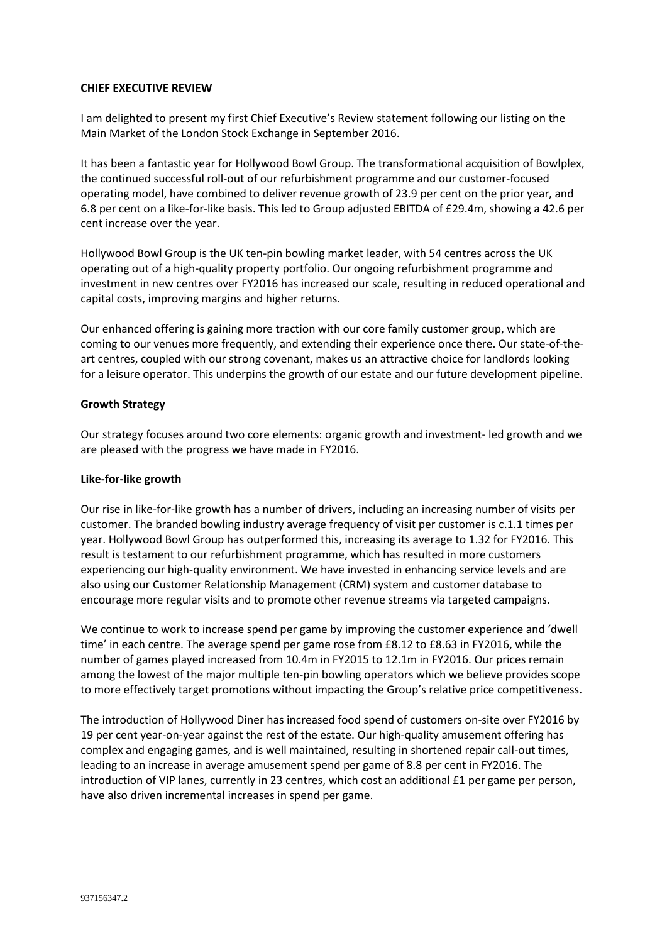### **CHIEF EXECUTIVE REVIEW**

I am delighted to present my first Chief Executive's Review statement following our listing on the Main Market of the London Stock Exchange in September 2016.

It has been a fantastic year for Hollywood Bowl Group. The transformational acquisition of Bowlplex, the continued successful roll-out of our refurbishment programme and our customer-focused operating model, have combined to deliver revenue growth of 23.9 per cent on the prior year, and 6.8 per cent on a like-for-like basis. This led to Group adjusted EBITDA of £29.4m, showing a 42.6 per cent increase over the year.

Hollywood Bowl Group is the UK ten-pin bowling market leader, with 54 centres across the UK operating out of a high-quality property portfolio. Our ongoing refurbishment programme and investment in new centres over FY2016 has increased our scale, resulting in reduced operational and capital costs, improving margins and higher returns.

Our enhanced offering is gaining more traction with our core family customer group, which are coming to our venues more frequently, and extending their experience once there. Our state-of-theart centres, coupled with our strong covenant, makes us an attractive choice for landlords looking for a leisure operator. This underpins the growth of our estate and our future development pipeline.

### **Growth Strategy**

Our strategy focuses around two core elements: organic growth and investment- led growth and we are pleased with the progress we have made in FY2016.

#### **Like-for-like growth**

Our rise in like-for-like growth has a number of drivers, including an increasing number of visits per customer. The branded bowling industry average frequency of visit per customer is c.1.1 times per year. Hollywood Bowl Group has outperformed this, increasing its average to 1.32 for FY2016. This result is testament to our refurbishment programme, which has resulted in more customers experiencing our high-quality environment. We have invested in enhancing service levels and are also using our Customer Relationship Management (CRM) system and customer database to encourage more regular visits and to promote other revenue streams via targeted campaigns.

We continue to work to increase spend per game by improving the customer experience and 'dwell time' in each centre. The average spend per game rose from £8.12 to £8.63 in FY2016, while the number of games played increased from 10.4m in FY2015 to 12.1m in FY2016. Our prices remain among the lowest of the major multiple ten-pin bowling operators which we believe provides scope to more effectively target promotions without impacting the Group's relative price competitiveness.

The introduction of Hollywood Diner has increased food spend of customers on-site over FY2016 by 19 per cent year-on-year against the rest of the estate. Our high-quality amusement offering has complex and engaging games, and is well maintained, resulting in shortened repair call-out times, leading to an increase in average amusement spend per game of 8.8 per cent in FY2016. The introduction of VIP lanes, currently in 23 centres, which cost an additional £1 per game per person, have also driven incremental increases in spend per game.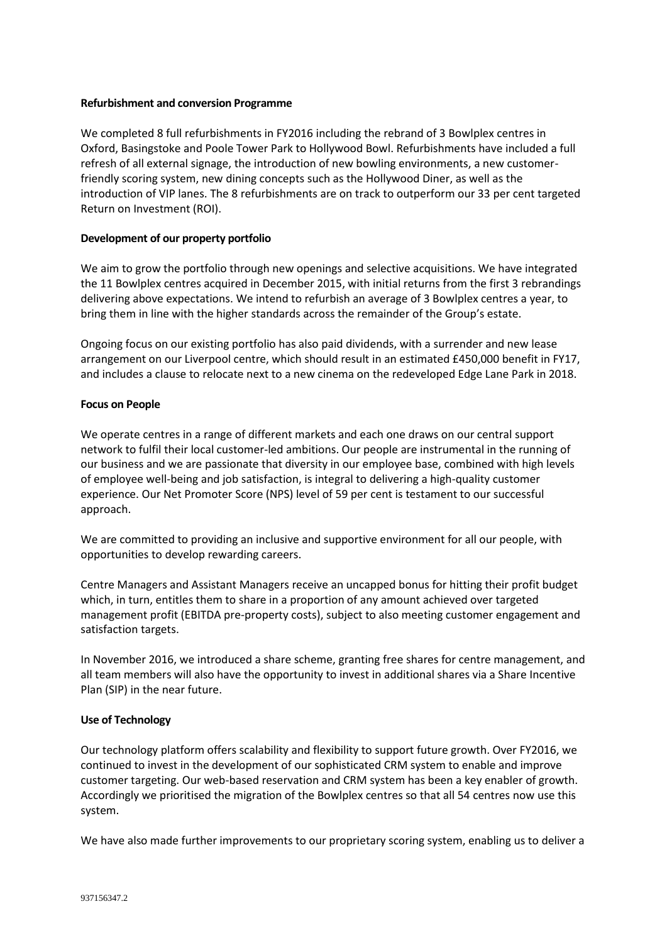### **Refurbishment and conversion Programme**

We completed 8 full refurbishments in FY2016 including the rebrand of 3 Bowlplex centres in Oxford, Basingstoke and Poole Tower Park to Hollywood Bowl. Refurbishments have included a full refresh of all external signage, the introduction of new bowling environments, a new customerfriendly scoring system, new dining concepts such as the Hollywood Diner, as well as the introduction of VIP lanes. The 8 refurbishments are on track to outperform our 33 per cent targeted Return on Investment (ROI).

# **Development of our property portfolio**

We aim to grow the portfolio through new openings and selective acquisitions. We have integrated the 11 Bowlplex centres acquired in December 2015, with initial returns from the first 3 rebrandings delivering above expectations. We intend to refurbish an average of 3 Bowlplex centres a year, to bring them in line with the higher standards across the remainder of the Group's estate.

Ongoing focus on our existing portfolio has also paid dividends, with a surrender and new lease arrangement on our Liverpool centre, which should result in an estimated £450,000 benefit in FY17, and includes a clause to relocate next to a new cinema on the redeveloped Edge Lane Park in 2018.

### **Focus on People**

We operate centres in a range of different markets and each one draws on our central support network to fulfil their local customer-led ambitions. Our people are instrumental in the running of our business and we are passionate that diversity in our employee base, combined with high levels of employee well-being and job satisfaction, is integral to delivering a high-quality customer experience. Our Net Promoter Score (NPS) level of 59 per cent is testament to our successful approach.

We are committed to providing an inclusive and supportive environment for all our people, with opportunities to develop rewarding careers.

Centre Managers and Assistant Managers receive an uncapped bonus for hitting their profit budget which, in turn, entitles them to share in a proportion of any amount achieved over targeted management profit (EBITDA pre-property costs), subject to also meeting customer engagement and satisfaction targets.

In November 2016, we introduced a share scheme, granting free shares for centre management, and all team members will also have the opportunity to invest in additional shares via a Share Incentive Plan (SIP) in the near future.

#### **Use of Technology**

Our technology platform offers scalability and flexibility to support future growth. Over FY2016, we continued to invest in the development of our sophisticated CRM system to enable and improve customer targeting. Our web-based reservation and CRM system has been a key enabler of growth. Accordingly we prioritised the migration of the Bowlplex centres so that all 54 centres now use this system.

We have also made further improvements to our proprietary scoring system, enabling us to deliver a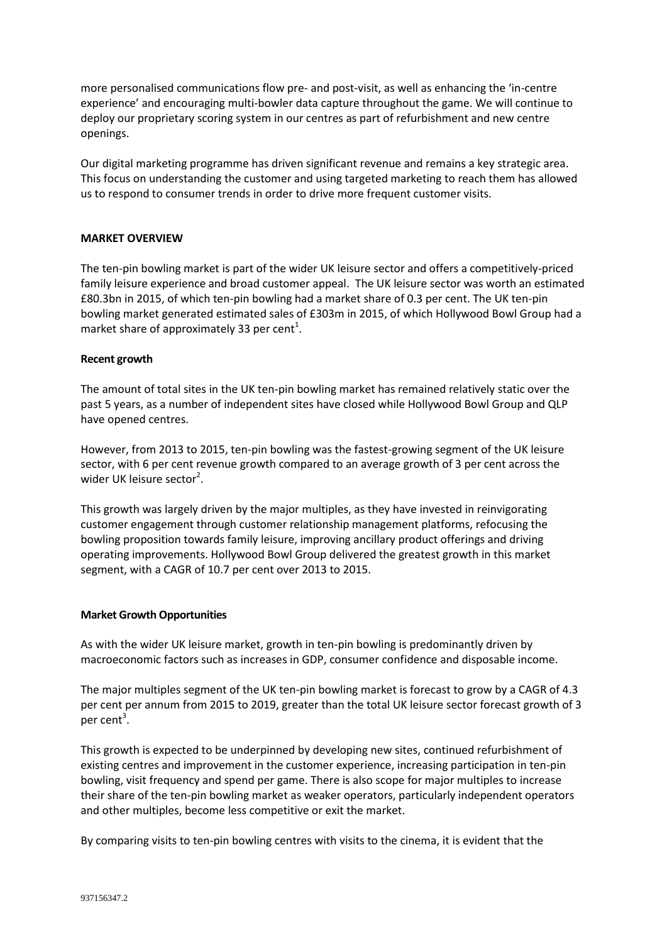more personalised communications flow pre- and post-visit, as well as enhancing the 'in-centre experience' and encouraging multi-bowler data capture throughout the game. We will continue to deploy our proprietary scoring system in our centres as part of refurbishment and new centre openings.

Our digital marketing programme has driven significant revenue and remains a key strategic area. This focus on understanding the customer and using targeted marketing to reach them has allowed us to respond to consumer trends in order to drive more frequent customer visits.

# **MARKET OVERVIEW**

The ten-pin bowling market is part of the wider UK leisure sector and offers a competitively-priced family leisure experience and broad customer appeal. The UK leisure sector was worth an estimated £80.3bn in 2015, of which ten-pin bowling had a market share of 0.3 per cent. The UK ten-pin bowling market generated estimated sales of £303m in 2015, of which Hollywood Bowl Group had a market share of approximately 33 per cent<sup>1</sup>.

# **Recent growth**

The amount of total sites in the UK ten-pin bowling market has remained relatively static over the past 5 years, as a number of independent sites have closed while Hollywood Bowl Group and QLP have opened centres.

However, from 2013 to 2015, ten-pin bowling was the fastest-growing segment of the UK leisure sector, with 6 per cent revenue growth compared to an average growth of 3 per cent across the wider UK leisure sector<sup>2</sup>.

This growth was largely driven by the major multiples, as they have invested in reinvigorating customer engagement through customer relationship management platforms, refocusing the bowling proposition towards family leisure, improving ancillary product offerings and driving operating improvements. Hollywood Bowl Group delivered the greatest growth in this market segment, with a CAGR of 10.7 per cent over 2013 to 2015.

# **Market Growth Opportunities**

As with the wider UK leisure market, growth in ten-pin bowling is predominantly driven by macroeconomic factors such as increases in GDP, consumer confidence and disposable income.

The major multiples segment of the UK ten-pin bowling market is forecast to grow by a CAGR of 4.3 per cent per annum from 2015 to 2019, greater than the total UK leisure sector forecast growth of 3 per cent<sup>3</sup>.

This growth is expected to be underpinned by developing new sites, continued refurbishment of existing centres and improvement in the customer experience, increasing participation in ten-pin bowling, visit frequency and spend per game. There is also scope for major multiples to increase their share of the ten-pin bowling market as weaker operators, particularly independent operators and other multiples, become less competitive or exit the market.

By comparing visits to ten-pin bowling centres with visits to the cinema, it is evident that the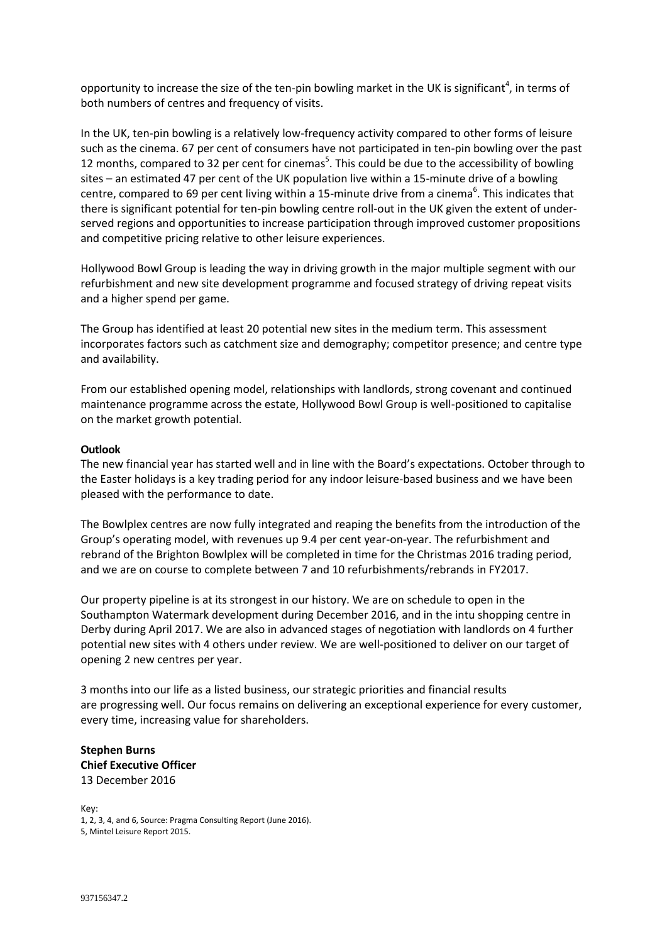opportunity to increase the size of the ten-pin bowling market in the UK is significant<sup>4</sup>, in terms of both numbers of centres and frequency of visits.

In the UK, ten-pin bowling is a relatively low-frequency activity compared to other forms of leisure such as the cinema. 67 per cent of consumers have not participated in ten-pin bowling over the past 12 months, compared to 32 per cent for cinemas<sup>5</sup>. This could be due to the accessibility of bowling sites – an estimated 47 per cent of the UK population live within a 15-minute drive of a bowling centre, compared to 69 per cent living within a 15-minute drive from a cinema<sup>6</sup>. This indicates that there is significant potential for ten-pin bowling centre roll-out in the UK given the extent of underserved regions and opportunities to increase participation through improved customer propositions and competitive pricing relative to other leisure experiences.

Hollywood Bowl Group is leading the way in driving growth in the major multiple segment with our refurbishment and new site development programme and focused strategy of driving repeat visits and a higher spend per game.

The Group has identified at least 20 potential new sites in the medium term. This assessment incorporates factors such as catchment size and demography; competitor presence; and centre type and availability.

From our established opening model, relationships with landlords, strong covenant and continued maintenance programme across the estate, Hollywood Bowl Group is well-positioned to capitalise on the market growth potential.

### **Outlook**

The new financial year has started well and in line with the Board's expectations. October through to the Easter holidays is a key trading period for any indoor leisure-based business and we have been pleased with the performance to date.

The Bowlplex centres are now fully integrated and reaping the benefits from the introduction of the Group's operating model, with revenues up 9.4 per cent year-on-year. The refurbishment and rebrand of the Brighton Bowlplex will be completed in time for the Christmas 2016 trading period, and we are on course to complete between 7 and 10 refurbishments/rebrands in FY2017.

Our property pipeline is at its strongest in our history. We are on schedule to open in the Southampton Watermark development during December 2016, and in the intu shopping centre in Derby during April 2017. We are also in advanced stages of negotiation with landlords on 4 further potential new sites with 4 others under review. We are well-positioned to deliver on our target of opening 2 new centres per year.

3 months into our life as a listed business, our strategic priorities and financial results are progressing well. Our focus remains on delivering an exceptional experience for every customer, every time, increasing value for shareholders.

# **Stephen Burns Chief Executive Officer** 13 December 2016

Key: 1, 2, 3, 4, and 6, Source: Pragma Consulting Report (June 2016). 5, Mintel Leisure Report 2015.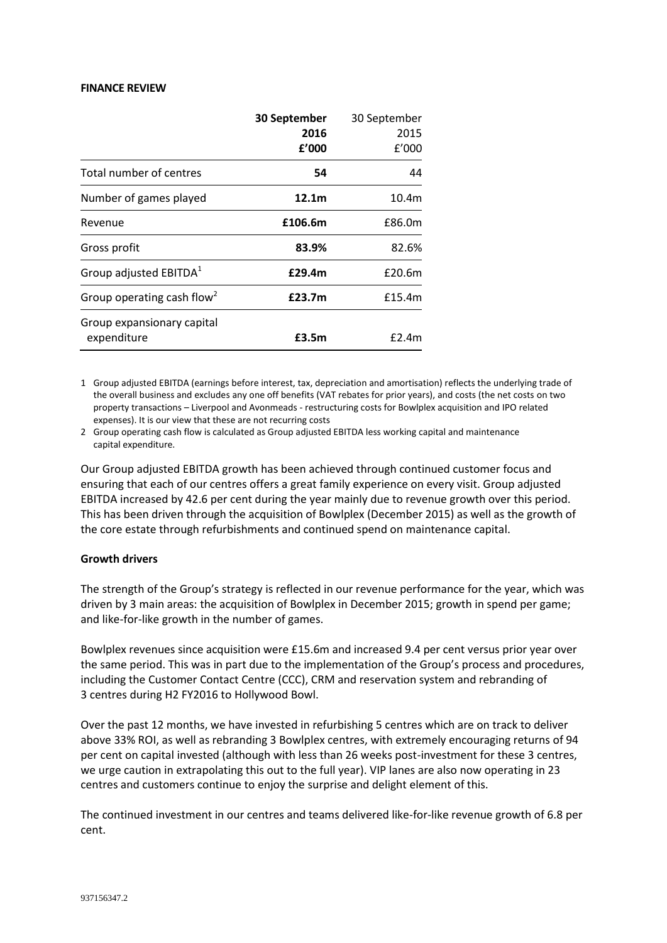#### **FINANCE REVIEW**

|                                        | 30 September      | 30 September |
|----------------------------------------|-------------------|--------------|
|                                        | 2016              | 2015         |
|                                        | f'000             | f'000        |
| Total number of centres                | 54                | 44           |
| Number of games played                 | 12.1 <sub>m</sub> | 10.4m        |
| Revenue                                | £106.6m           | £86.0m       |
| Gross profit                           | 83.9%             | 82.6%        |
| Group adjusted EBITDA <sup>1</sup>     | £29.4m            | £20.6m       |
| Group operating cash flow <sup>2</sup> | £23.7m            | £15.4m       |
| Group expansionary capital             |                   |              |
| expenditure                            | £3.5m             | f2.4m        |

1 Group adjusted EBITDA (earnings before interest, tax, depreciation and amortisation) reflects the underlying trade of the overall business and excludes any one off benefits (VAT rebates for prior years), and costs (the net costs on two property transactions – Liverpool and Avonmeads - restructuring costs for Bowlplex acquisition and IPO related expenses). It is our view that these are not recurring costs

2 Group operating cash flow is calculated as Group adjusted EBITDA less working capital and maintenance capital expenditure.

Our Group adjusted EBITDA growth has been achieved through continued customer focus and ensuring that each of our centres offers a great family experience on every visit. Group adjusted EBITDA increased by 42.6 per cent during the year mainly due to revenue growth over this period. This has been driven through the acquisition of Bowlplex (December 2015) as well as the growth of the core estate through refurbishments and continued spend on maintenance capital.

#### **Growth drivers**

The strength of the Group's strategy is reflected in our revenue performance for the year, which was driven by 3 main areas: the acquisition of Bowlplex in December 2015; growth in spend per game; and like-for-like growth in the number of games.

Bowlplex revenues since acquisition were £15.6m and increased 9.4 per cent versus prior year over the same period. This was in part due to the implementation of the Group's process and procedures, including the Customer Contact Centre (CCC), CRM and reservation system and rebranding of 3 centres during H2 FY2016 to Hollywood Bowl.

Over the past 12 months, we have invested in refurbishing 5 centres which are on track to deliver above 33% ROI, as well as rebranding 3 Bowlplex centres, with extremely encouraging returns of 94 per cent on capital invested (although with less than 26 weeks post-investment for these 3 centres, we urge caution in extrapolating this out to the full year). VIP lanes are also now operating in 23 centres and customers continue to enjoy the surprise and delight element of this.

The continued investment in our centres and teams delivered like-for-like revenue growth of 6.8 per cent.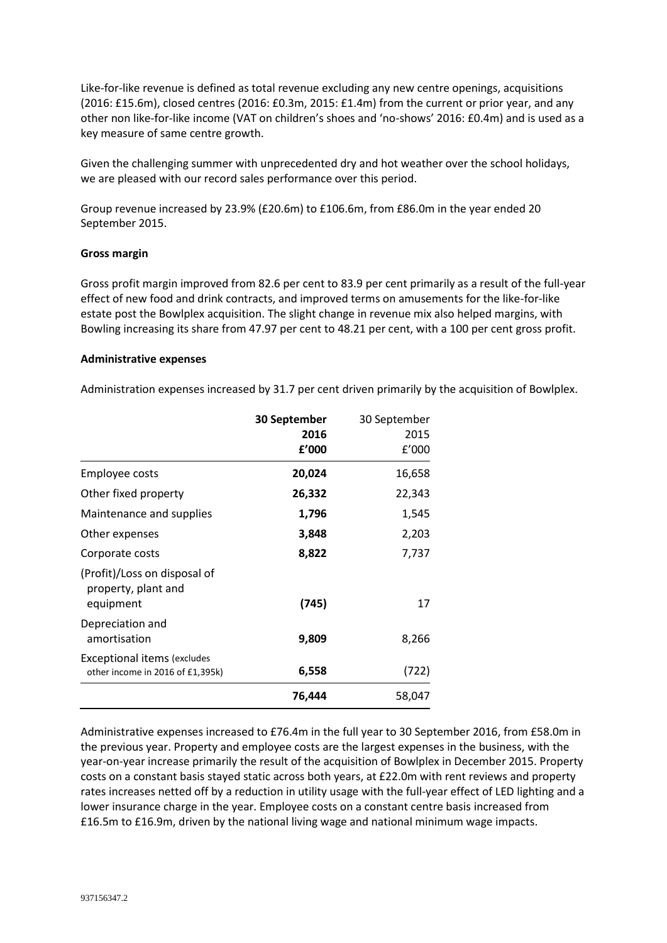Like-for-like revenue is defined as total revenue excluding any new centre openings, acquisitions (2016: £15.6m), closed centres (2016: £0.3m, 2015: £1.4m) from the current or prior year, and any other non like-for-like income (VAT on children's shoes and 'no-shows' 2016: £0.4m) and is used as a key measure of same centre growth.

Given the challenging summer with unprecedented dry and hot weather over the school holidays, we are pleased with our record sales performance over this period.

Group revenue increased by 23.9% (£20.6m) to £106.6m, from £86.0m in the year ended 20 September 2015.

#### **Gross margin**

Gross profit margin improved from 82.6 per cent to 83.9 per cent primarily as a result of the full-year effect of new food and drink contracts, and improved terms on amusements for the like-for-like estate post the Bowlplex acquisition. The slight change in revenue mix also helped margins, with Bowling increasing its share from 47.97 per cent to 48.21 per cent, with a 100 per cent gross profit.

#### **Administrative expenses**

Administration expenses increased by 31.7 per cent driven primarily by the acquisition of Bowlplex.

|                                                                        | 30 September | 30 September |
|------------------------------------------------------------------------|--------------|--------------|
|                                                                        | 2016         | 2015         |
|                                                                        | £'000        | E'000        |
| <b>Employee costs</b>                                                  | 20,024       | 16,658       |
| Other fixed property                                                   | 26,332       | 22,343       |
| Maintenance and supplies                                               | 1,796        | 1,545        |
| Other expenses                                                         | 3,848        | 2,203        |
| Corporate costs                                                        | 8,822        | 7,737        |
| (Profit)/Loss on disposal of<br>property, plant and                    |              |              |
| equipment                                                              | (745)        | 17           |
| Depreciation and                                                       |              |              |
| amortisation                                                           | 9,809        | 8,266        |
| <b>Exceptional items (excludes</b><br>other income in 2016 of £1,395k) | 6,558        | (722)        |
|                                                                        |              |              |
|                                                                        | 76,444       | 58,047       |

Administrative expenses increased to £76.4m in the full year to 30 September 2016, from £58.0m in the previous year. Property and employee costs are the largest expenses in the business, with the year-on-year increase primarily the result of the acquisition of Bowlplex in December 2015. Property costs on a constant basis stayed static across both years, at £22.0m with rent reviews and property rates increases netted off by a reduction in utility usage with the full-year effect of LED lighting and a lower insurance charge in the year. Employee costs on a constant centre basis increased from £16.5m to £16.9m, driven by the national living wage and national minimum wage impacts.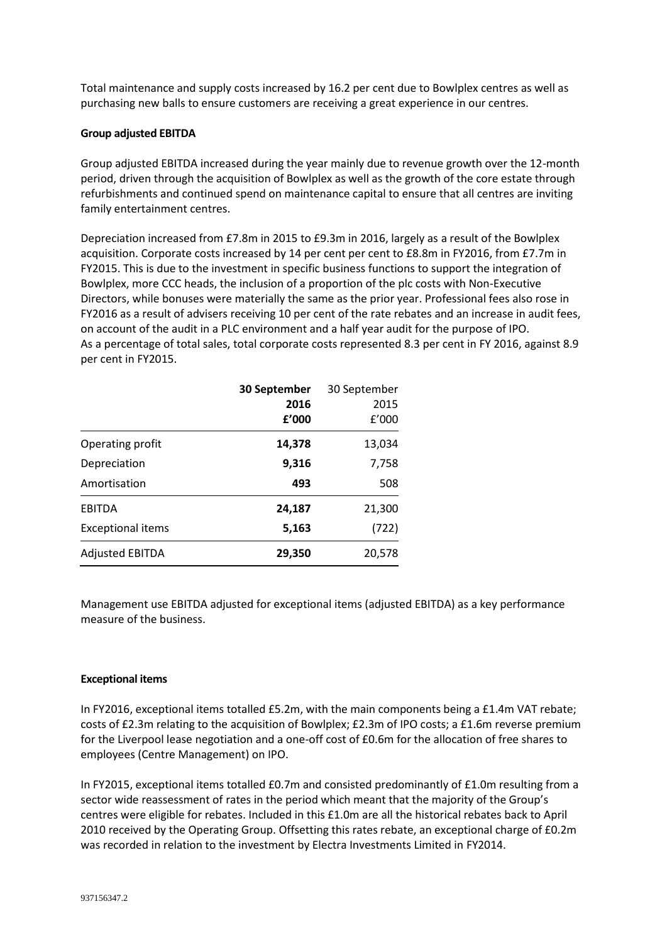Total maintenance and supply costs increased by 16.2 per cent due to Bowlplex centres as well as purchasing new balls to ensure customers are receiving a great experience in our centres.

### **Group adjusted EBITDA**

Group adjusted EBITDA increased during the year mainly due to revenue growth over the 12-month period, driven through the acquisition of Bowlplex as well as the growth of the core estate through refurbishments and continued spend on maintenance capital to ensure that all centres are inviting family entertainment centres.

Depreciation increased from £7.8m in 2015 to £9.3m in 2016, largely as a result of the Bowlplex acquisition. Corporate costs increased by 14 per cent per cent to £8.8m in FY2016, from £7.7m in FY2015. This is due to the investment in specific business functions to support the integration of Bowlplex, more CCC heads, the inclusion of a proportion of the plc costs with Non-Executive Directors, while bonuses were materially the same as the prior year. Professional fees also rose in FY2016 as a result of advisers receiving 10 per cent of the rate rebates and an increase in audit fees, on account of the audit in a PLC environment and a half year audit for the purpose of IPO. As a percentage of total sales, total corporate costs represented 8.3 per cent in FY 2016, against 8.9 per cent in FY2015.

|                          | 30 September | 30 September |
|--------------------------|--------------|--------------|
|                          | 2016         | 2015         |
|                          | f'000        | f'000        |
| Operating profit         | 14,378       | 13,034       |
| Depreciation             | 9,316        | 7,758        |
| Amortisation             | 493          | 508          |
| EBITDA                   | 24,187       | 21,300       |
| <b>Exceptional items</b> | 5,163        | (722)        |
| <b>Adjusted EBITDA</b>   | 29,350       | 20,578       |

Management use EBITDA adjusted for exceptional items (adjusted EBITDA) as a key performance measure of the business.

# **Exceptional items**

In FY2016, exceptional items totalled £5.2m, with the main components being a £1.4m VAT rebate; costs of £2.3m relating to the acquisition of Bowlplex; £2.3m of IPO costs; a £1.6m reverse premium for the Liverpool lease negotiation and a one-off cost of £0.6m for the allocation of free shares to employees (Centre Management) on IPO.

In FY2015, exceptional items totalled £0.7m and consisted predominantly of £1.0m resulting from a sector wide reassessment of rates in the period which meant that the majority of the Group's centres were eligible for rebates. Included in this £1.0m are all the historical rebates back to April 2010 received by the Operating Group. Offsetting this rates rebate, an exceptional charge of £0.2m was recorded in relation to the investment by Electra Investments Limited in FY2014.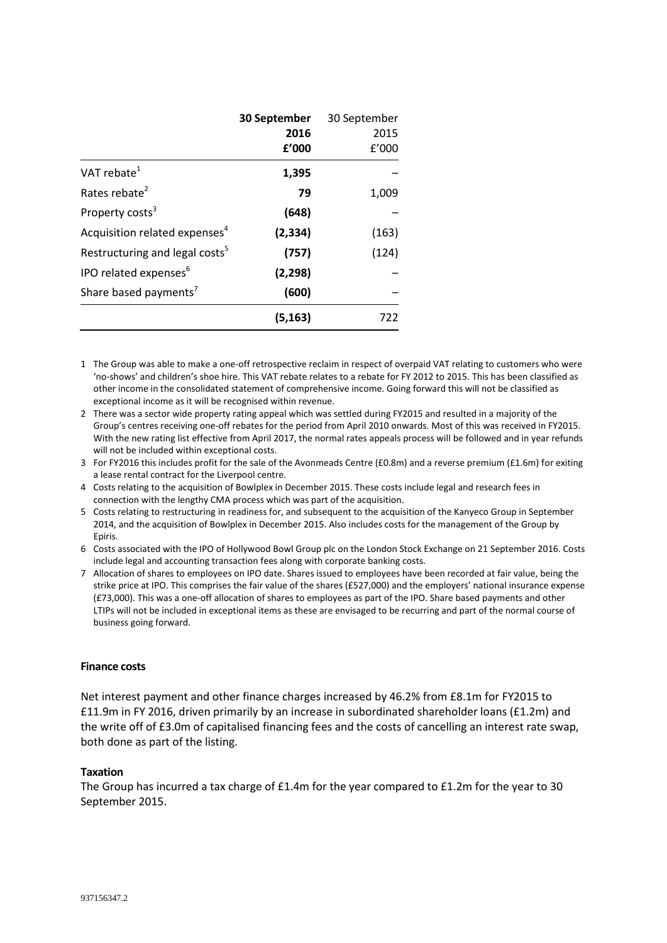|                                            | 30 September | 30 September |
|--------------------------------------------|--------------|--------------|
|                                            | 2016         | 2015         |
|                                            | f'000        | f'000        |
| VAT rebate $1$                             | 1,395        |              |
| Rates rebate <sup>2</sup>                  | 79           | 1,009        |
| Property costs <sup>3</sup>                | (648)        |              |
| Acquisition related expenses <sup>4</sup>  | (2, 334)     | (163)        |
| Restructuring and legal costs <sup>5</sup> | (757)        | (124)        |
| IPO related expenses <sup>6</sup>          | (2, 298)     |              |
| Share based payments'                      | (600)        |              |
|                                            | (5, 163)     | 722          |

1 The Group was able to make a one-off retrospective reclaim in respect of overpaid VAT relating to customers who were 'no-shows' and children's shoe hire. This VAT rebate relates to a rebate for FY 2012 to 2015. This has been classified as other income in the consolidated statement of comprehensive income. Going forward this will not be classified as exceptional income as it will be recognised within revenue.

2 There was a sector wide property rating appeal which was settled during FY2015 and resulted in a majority of the Group's centres receiving one-off rebates for the period from April 2010 onwards. Most of this was received in FY2015. With the new rating list effective from April 2017, the normal rates appeals process will be followed and in year refunds will not be included within exceptional costs.

- 3 For FY2016 this includes profit for the sale of the Avonmeads Centre (£0.8m) and a reverse premium (£1.6m) for exiting a lease rental contract for the Liverpool centre.
- 4 Costs relating to the acquisition of Bowlplex in December 2015. These costs include legal and research fees in connection with the lengthy CMA process which was part of the acquisition.
- 5 Costs relating to restructuring in readiness for, and subsequent to the acquisition of the Kanyeco Group in September 2014, and the acquisition of Bowlplex in December 2015. Also includes costs for the management of the Group by Epiris.

6 Costs associated with the IPO of Hollywood Bowl Group plc on the London Stock Exchange on 21 September 2016. Costs include legal and accounting transaction fees along with corporate banking costs.

7 Allocation of shares to employees on IPO date. Shares issued to employees have been recorded at fair value, being the strike price at IPO. This comprises the fair value of the shares (£527,000) and the employers' national insurance expense (£73,000). This was a one-off allocation of shares to employees as part of the IPO. Share based payments and other LTIPs will not be included in exceptional items as these are envisaged to be recurring and part of the normal course of business going forward.

#### **Finance costs**

Net interest payment and other finance charges increased by 46.2% from £8.1m for FY2015 to £11.9m in FY 2016, driven primarily by an increase in subordinated shareholder loans (£1.2m) and the write off of £3.0m of capitalised financing fees and the costs of cancelling an interest rate swap, both done as part of the listing.

#### **Taxation**

The Group has incurred a tax charge of £1.4m for the year compared to £1.2m for the year to 30 September 2015.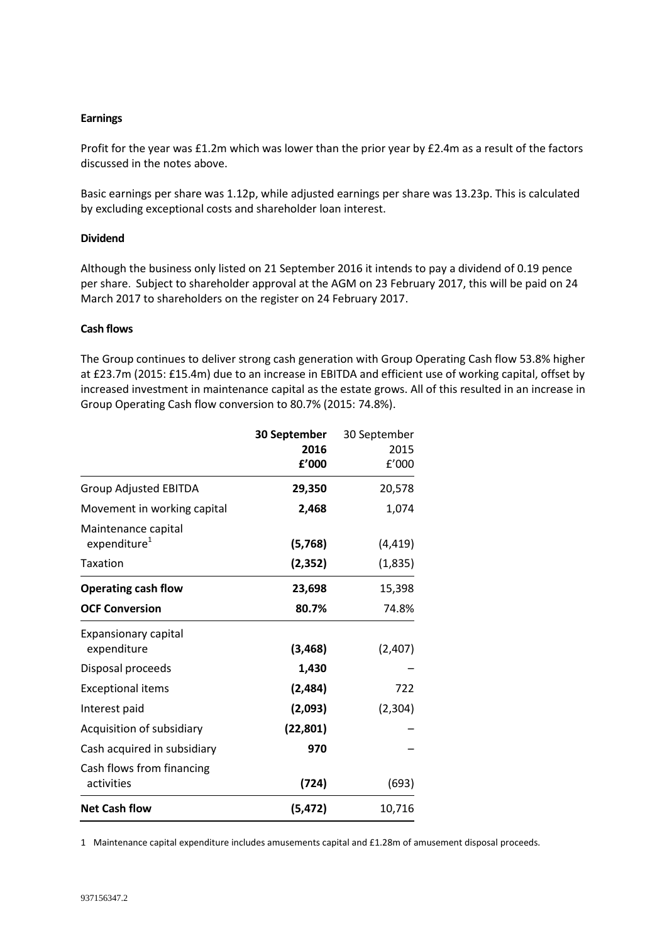### **Earnings**

Profit for the year was £1.2m which was lower than the prior year by £2.4m as a result of the factors discussed in the notes above.

Basic earnings per share was 1.12p, while adjusted earnings per share was 13.23p. This is calculated by excluding exceptional costs and shareholder loan interest.

### **Dividend**

Although the business only listed on 21 September 2016 it intends to pay a dividend of 0.19 pence per share. Subject to shareholder approval at the AGM on 23 February 2017, this will be paid on 24 March 2017 to shareholders on the register on 24 February 2017.

### **Cash flows**

The Group continues to deliver strong cash generation with Group Operating Cash flow 53.8% higher at £23.7m (2015: £15.4m) due to an increase in EBITDA and efficient use of working capital, offset by increased investment in maintenance capital as the estate grows. All of this resulted in an increase in Group Operating Cash flow conversion to 80.7% (2015: 74.8%).

|                                                 | 30 September | 30 September |
|-------------------------------------------------|--------------|--------------|
|                                                 | 2016         | 2015         |
|                                                 | £'000        | f'000        |
| <b>Group Adjusted EBITDA</b>                    | 29,350       | 20,578       |
| Movement in working capital                     | 2,468        | 1,074        |
| Maintenance capital<br>expenditure <sup>1</sup> | (5,768)      | (4, 419)     |
| Taxation                                        | (2, 352)     | (1,835)      |
| <b>Operating cash flow</b>                      | 23,698       | 15,398       |
| <b>OCF Conversion</b>                           | 80.7%        | 74.8%        |
| <b>Expansionary capital</b>                     |              |              |
| expenditure                                     | (3, 468)     | (2,407)      |
| Disposal proceeds                               | 1,430        |              |
| <b>Exceptional items</b>                        | (2,484)      | 722          |
| Interest paid                                   | (2,093)      | (2, 304)     |
| Acquisition of subsidiary                       | (22, 801)    |              |
| Cash acquired in subsidiary                     | 970          |              |
| Cash flows from financing                       |              |              |
| activities                                      | (724)        | (693)        |
| <b>Net Cash flow</b>                            | (5, 472)     | 10,716       |

1 Maintenance capital expenditure includes amusements capital and £1.28m of amusement disposal proceeds.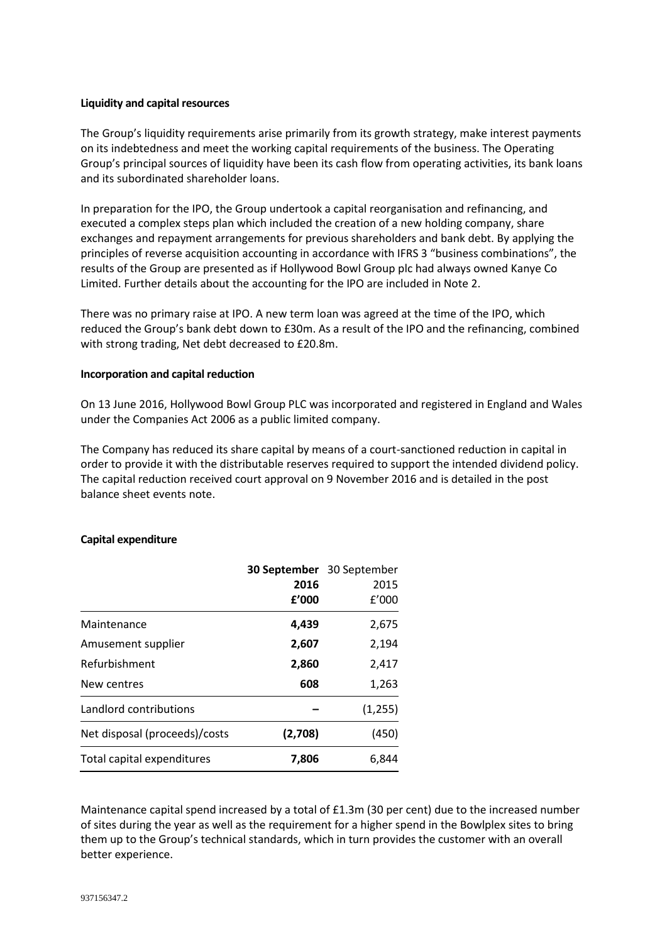### **Liquidity and capital resources**

The Group's liquidity requirements arise primarily from its growth strategy, make interest payments on its indebtedness and meet the working capital requirements of the business. The Operating Group's principal sources of liquidity have been its cash flow from operating activities, its bank loans and its subordinated shareholder loans.

In preparation for the IPO, the Group undertook a capital reorganisation and refinancing, and executed a complex steps plan which included the creation of a new holding company, share exchanges and repayment arrangements for previous shareholders and bank debt. By applying the principles of reverse acquisition accounting in accordance with IFRS 3 "business combinations", the results of the Group are presented as if Hollywood Bowl Group plc had always owned Kanye Co Limited. Further details about the accounting for the IPO are included in Note 2.

There was no primary raise at IPO. A new term loan was agreed at the time of the IPO, which reduced the Group's bank debt down to £30m. As a result of the IPO and the refinancing, combined with strong trading, Net debt decreased to £20.8m.

#### **Incorporation and capital reduction**

On 13 June 2016, Hollywood Bowl Group PLC was incorporated and registered in England and Wales under the Companies Act 2006 as a public limited company.

The Company has reduced its share capital by means of a court-sanctioned reduction in capital in order to provide it with the distributable reserves required to support the intended dividend policy. The capital reduction received court approval on 9 November 2016 and is detailed in the post balance sheet events note.

# **Capital expenditure**

|                               | <b>30 September</b> 30 September |         |  |  |
|-------------------------------|----------------------------------|---------|--|--|
|                               | 2016                             | 2015    |  |  |
|                               | f'000                            | f'000   |  |  |
| Maintenance                   | 4,439                            | 2,675   |  |  |
| Amusement supplier            | 2,607                            | 2,194   |  |  |
| Refurbishment                 | 2,860                            | 2,417   |  |  |
| New centres                   | 608                              | 1,263   |  |  |
| Landlord contributions        |                                  | (1,255) |  |  |
| Net disposal (proceeds)/costs | (2,708)                          | (450)   |  |  |
| Total capital expenditures    | 7,806                            | 6,844   |  |  |

Maintenance capital spend increased by a total of £1.3m (30 per cent) due to the increased number of sites during the year as well as the requirement for a higher spend in the Bowlplex sites to bring them up to the Group's technical standards, which in turn provides the customer with an overall better experience.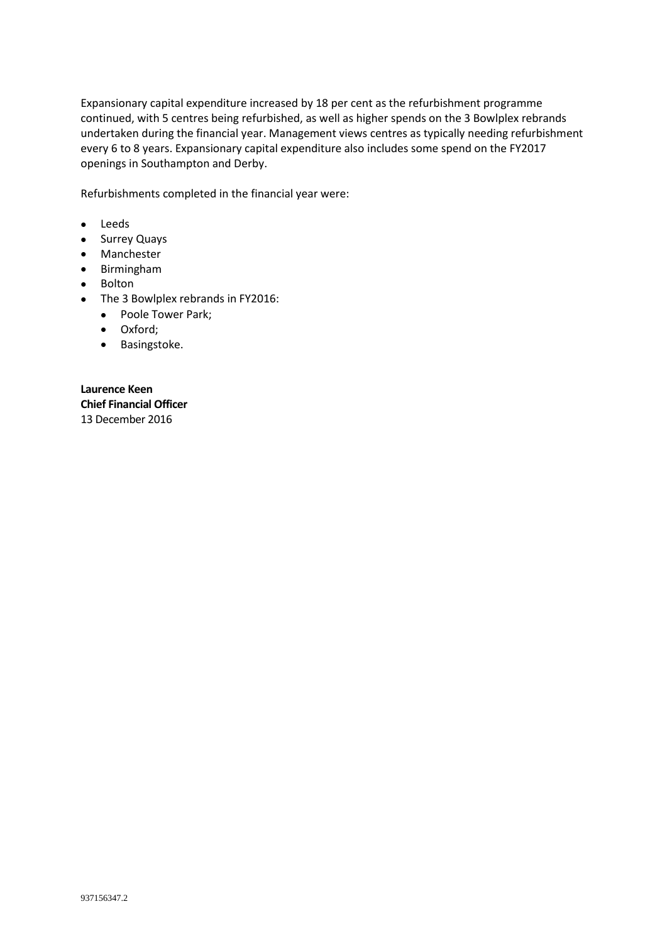Expansionary capital expenditure increased by 18 per cent as the refurbishment programme continued, with 5 centres being refurbished, as well as higher spends on the 3 Bowlplex rebrands undertaken during the financial year. Management views centres as typically needing refurbishment every 6 to 8 years. Expansionary capital expenditure also includes some spend on the FY2017 openings in Southampton and Derby.

Refurbishments completed in the financial year were:

- Leeds
- Surrey Quays
- Manchester
- Birmingham
- Bolton
- The 3 Bowlplex rebrands in FY2016:
	- Poole Tower Park;
	- Oxford;
	- Basingstoke.

**Laurence Keen Chief Financial Officer** 13 December 2016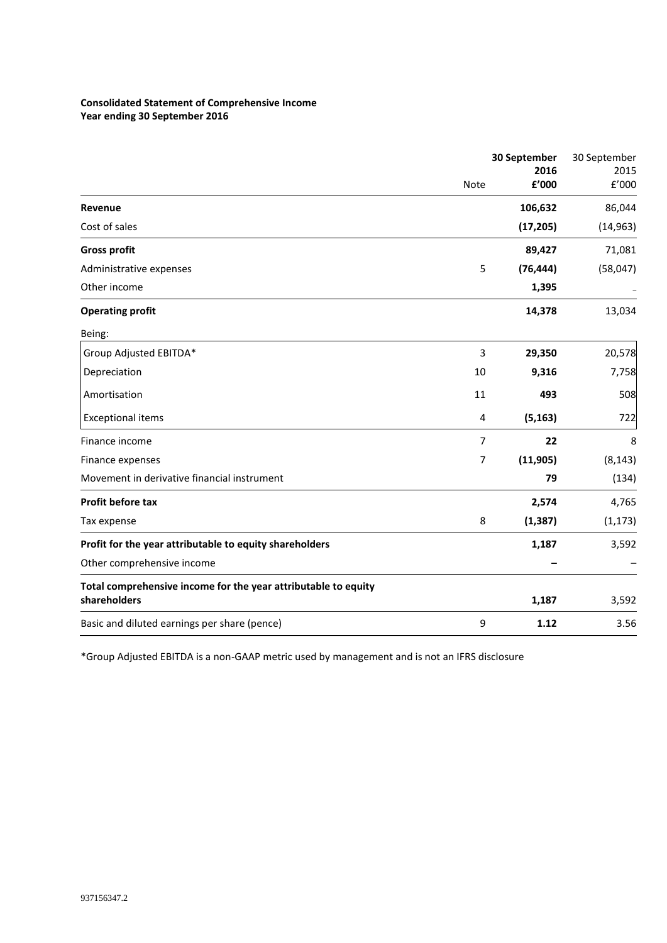### **Consolidated Statement of Comprehensive Income Year ending 30 September 2016**

|                                                                                | 30 September<br>2016 |           | 30 September<br>2015 |
|--------------------------------------------------------------------------------|----------------------|-----------|----------------------|
|                                                                                | <b>Note</b>          | £'000     | E'000                |
| Revenue                                                                        |                      | 106,632   | 86,044               |
| Cost of sales                                                                  |                      | (17, 205) | (14, 963)            |
| <b>Gross profit</b>                                                            |                      | 89,427    | 71,081               |
| Administrative expenses                                                        | 5                    | (76, 444) | (58,047)             |
| Other income                                                                   |                      | 1,395     |                      |
| <b>Operating profit</b>                                                        |                      | 14,378    | 13,034               |
| Being:                                                                         |                      |           |                      |
| Group Adjusted EBITDA*                                                         | 3                    | 29,350    | 20,578               |
| Depreciation                                                                   | 10                   | 9,316     | 7,758                |
| Amortisation                                                                   | 11                   | 493       | 508                  |
| <b>Exceptional items</b>                                                       | 4                    | (5, 163)  | 722                  |
| Finance income                                                                 | 7                    | 22        | 8                    |
| Finance expenses                                                               | $\overline{7}$       | (11, 905) | (8, 143)             |
| Movement in derivative financial instrument                                    |                      | 79        | (134)                |
| Profit before tax                                                              |                      | 2,574     | 4,765                |
| Tax expense                                                                    | 8                    | (1, 387)  | (1, 173)             |
| Profit for the year attributable to equity shareholders                        |                      | 1,187     | 3,592                |
| Other comprehensive income                                                     |                      |           |                      |
| Total comprehensive income for the year attributable to equity<br>shareholders |                      | 1,187     | 3,592                |
| Basic and diluted earnings per share (pence)                                   | 9                    | 1.12      | 3.56                 |

\*Group Adjusted EBITDA is a non-GAAP metric used by management and is not an IFRS disclosure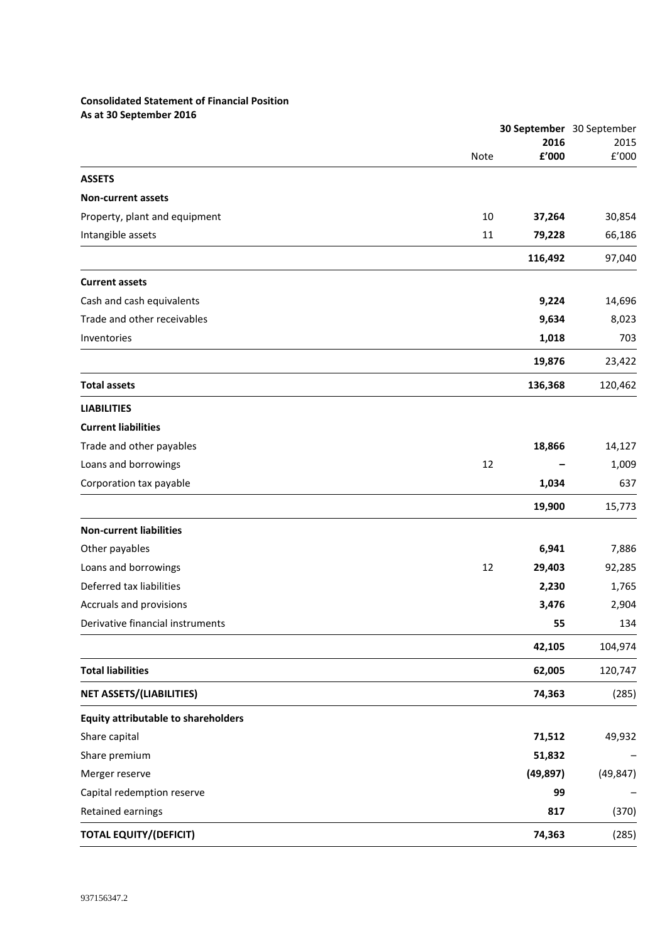# **Consolidated Statement of Financial Position As at 30 September 2016**

|                                            |      | 30 September 30 September |               |
|--------------------------------------------|------|---------------------------|---------------|
|                                            | Note | 2016<br>£'000             | 2015<br>£'000 |
|                                            |      |                           |               |
| <b>ASSETS</b>                              |      |                           |               |
| <b>Non-current assets</b>                  |      |                           |               |
| Property, plant and equipment              | 10   | 37,264                    | 30,854        |
| Intangible assets                          | 11   | 79,228                    | 66,186        |
|                                            |      | 116,492                   | 97,040        |
| <b>Current assets</b>                      |      |                           |               |
| Cash and cash equivalents                  |      | 9,224                     | 14,696        |
| Trade and other receivables                |      | 9,634                     | 8,023         |
| Inventories                                |      | 1,018                     | 703           |
|                                            |      | 19,876                    | 23,422        |
| <b>Total assets</b>                        |      | 136,368                   | 120,462       |
| <b>LIABILITIES</b>                         |      |                           |               |
| <b>Current liabilities</b>                 |      |                           |               |
| Trade and other payables                   |      | 18,866                    | 14,127        |
| Loans and borrowings                       | 12   |                           | 1,009         |
| Corporation tax payable                    |      | 1,034                     | 637           |
|                                            |      | 19,900                    | 15,773        |
| <b>Non-current liabilities</b>             |      |                           |               |
| Other payables                             |      | 6,941                     | 7,886         |
| Loans and borrowings                       | 12   | 29,403                    | 92,285        |
| Deferred tax liabilities                   |      | 2,230                     | 1,765         |
| Accruals and provisions                    |      | 3,476                     | 2,904         |
| Derivative financial instruments           |      | 55                        | 134           |
|                                            |      | 42,105                    | 104,974       |
| <b>Total liabilities</b>                   |      | 62,005                    | 120,747       |
| <b>NET ASSETS/(LIABILITIES)</b>            |      | 74,363                    | (285)         |
| <b>Equity attributable to shareholders</b> |      |                           |               |
| Share capital                              |      | 71,512                    | 49,932        |
| Share premium                              |      | 51,832                    |               |
| Merger reserve                             |      | (49, 897)                 | (49, 847)     |
| Capital redemption reserve                 |      | 99                        |               |
| Retained earnings                          |      | 817                       | (370)         |
| <b>TOTAL EQUITY/(DEFICIT)</b>              |      | 74,363                    | (285)         |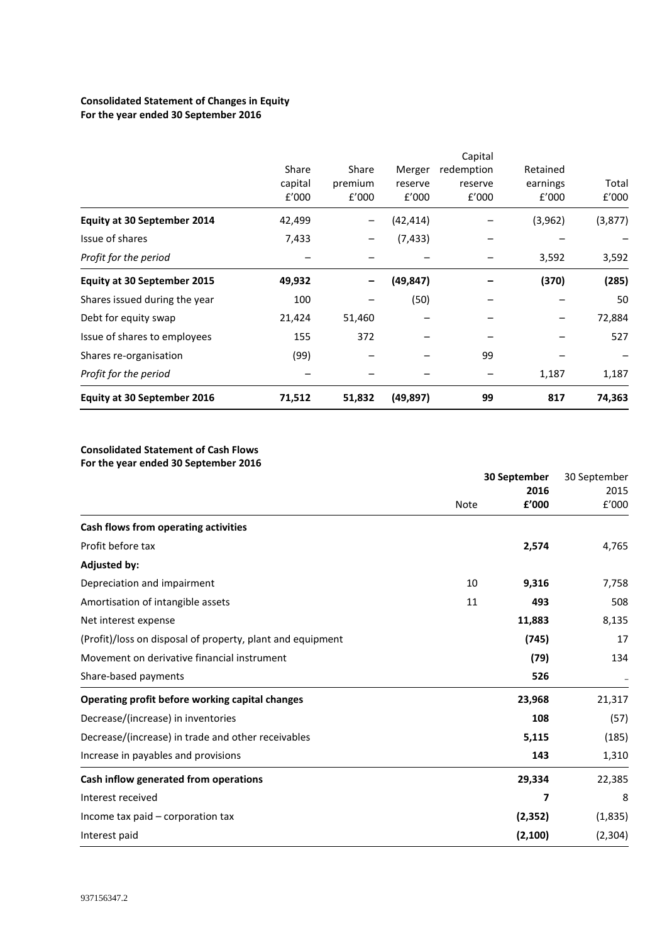# **Consolidated Statement of Changes in Equity For the year ended 30 September 2016**

| <b>Equity at 30 September 2016</b> | 71,512           | 51,832           | (49, 897)        | 99                    | 817               | 74,363         |
|------------------------------------|------------------|------------------|------------------|-----------------------|-------------------|----------------|
| Profit for the period              |                  |                  |                  |                       | 1,187             | 1,187          |
| Shares re-organisation             | (99)             |                  |                  | 99                    |                   |                |
| Issue of shares to employees       | 155              | 372              |                  |                       |                   | 527            |
| Debt for equity swap               | 21,424           | 51,460           |                  |                       |                   | 72,884         |
| Shares issued during the year      | 100              |                  | (50)             |                       |                   | 50             |
| <b>Equity at 30 September 2015</b> | 49,932           |                  | (49,847)         |                       | (370)             | (285)          |
| Profit for the period              |                  |                  |                  |                       | 3,592             | 3,592          |
| Issue of shares                    | 7,433            |                  | (7, 433)         |                       |                   |                |
| <b>Equity at 30 September 2014</b> | 42,499           | -                | (42,414)         |                       | (3,962)           | (3, 877)       |
|                                    | capital<br>f'000 | premium<br>f'000 | reserve<br>E'000 | reserve<br>f'000      | earnings<br>f'000 | Total<br>f'000 |
|                                    | Share            | Share            | Merger           | Capital<br>redemption | Retained          |                |

### **Consolidated Statement of Cash Flows For the year ended 30 September 2016**

|                                                            |             | 30 September<br>2016 |          |
|------------------------------------------------------------|-------------|----------------------|----------|
|                                                            | <b>Note</b> | £'000                | f'000    |
| Cash flows from operating activities                       |             |                      |          |
| Profit before tax                                          |             | 2,574                | 4,765    |
| <b>Adjusted by:</b>                                        |             |                      |          |
| Depreciation and impairment                                | 10          | 9,316                | 7,758    |
| Amortisation of intangible assets                          | 11          | 493                  | 508      |
| Net interest expense                                       |             | 11,883               | 8,135    |
| (Profit)/loss on disposal of property, plant and equipment |             | (745)                | 17       |
| Movement on derivative financial instrument                |             | (79)                 | 134      |
| Share-based payments                                       |             | 526                  |          |
| Operating profit before working capital changes            |             | 23,968               | 21,317   |
| Decrease/(increase) in inventories                         |             | 108                  | (57)     |
| Decrease/(increase) in trade and other receivables         |             | 5,115                | (185)    |
| Increase in payables and provisions                        |             | 143                  | 1,310    |
| Cash inflow generated from operations                      |             | 29,334               | 22,385   |
| Interest received                                          |             | 7                    | 8        |
| Income tax paid – corporation tax                          |             | (2, 352)             | (1,835)  |
| Interest paid                                              |             | (2, 100)             | (2, 304) |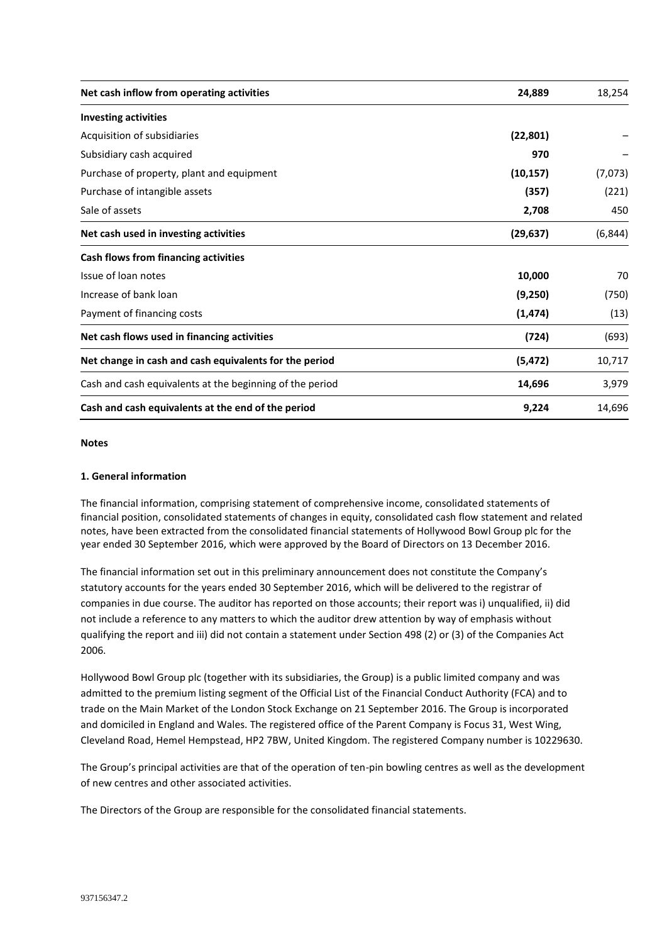| Net cash inflow from operating activities                | 24,889    | 18,254   |
|----------------------------------------------------------|-----------|----------|
| <b>Investing activities</b>                              |           |          |
| Acquisition of subsidiaries                              | (22, 801) |          |
| Subsidiary cash acquired                                 | 970       |          |
| Purchase of property, plant and equipment                | (10, 157) | (7,073)  |
| Purchase of intangible assets                            | (357)     | (221)    |
| Sale of assets                                           | 2,708     | 450      |
| Net cash used in investing activities                    | (29, 637) | (6, 844) |
| Cash flows from financing activities                     |           |          |
| Issue of loan notes                                      | 10,000    | 70       |
| Increase of bank loan                                    | (9,250)   | (750)    |
| Payment of financing costs                               | (1, 474)  | (13)     |
| Net cash flows used in financing activities              | (724)     | (693)    |
| Net change in cash and cash equivalents for the period   | (5, 472)  | 10,717   |
| Cash and cash equivalents at the beginning of the period | 14,696    | 3,979    |
| Cash and cash equivalents at the end of the period       | 9,224     | 14,696   |

#### **Notes**

#### **1. General information**

The financial information, comprising statement of comprehensive income, consolidated statements of financial position, consolidated statements of changes in equity, consolidated cash flow statement and related notes, have been extracted from the consolidated financial statements of Hollywood Bowl Group plc for the year ended 30 September 2016, which were approved by the Board of Directors on 13 December 2016.

The financial information set out in this preliminary announcement does not constitute the Company's statutory accounts for the years ended 30 September 2016, which will be delivered to the registrar of companies in due course. The auditor has reported on those accounts; their report was i) unqualified, ii) did not include a reference to any matters to which the auditor drew attention by way of emphasis without qualifying the report and iii) did not contain a statement under Section 498 (2) or (3) of the Companies Act 2006.

Hollywood Bowl Group plc (together with its subsidiaries, the Group) is a public limited company and was admitted to the premium listing segment of the Official List of the Financial Conduct Authority (FCA) and to trade on the Main Market of the London Stock Exchange on 21 September 2016. The Group is incorporated and domiciled in England and Wales. The registered office of the Parent Company is Focus 31, West Wing, Cleveland Road, Hemel Hempstead, HP2 7BW, United Kingdom. The registered Company number is 10229630.

The Group's principal activities are that of the operation of ten-pin bowling centres as well as the development of new centres and other associated activities.

The Directors of the Group are responsible for the consolidated financial statements.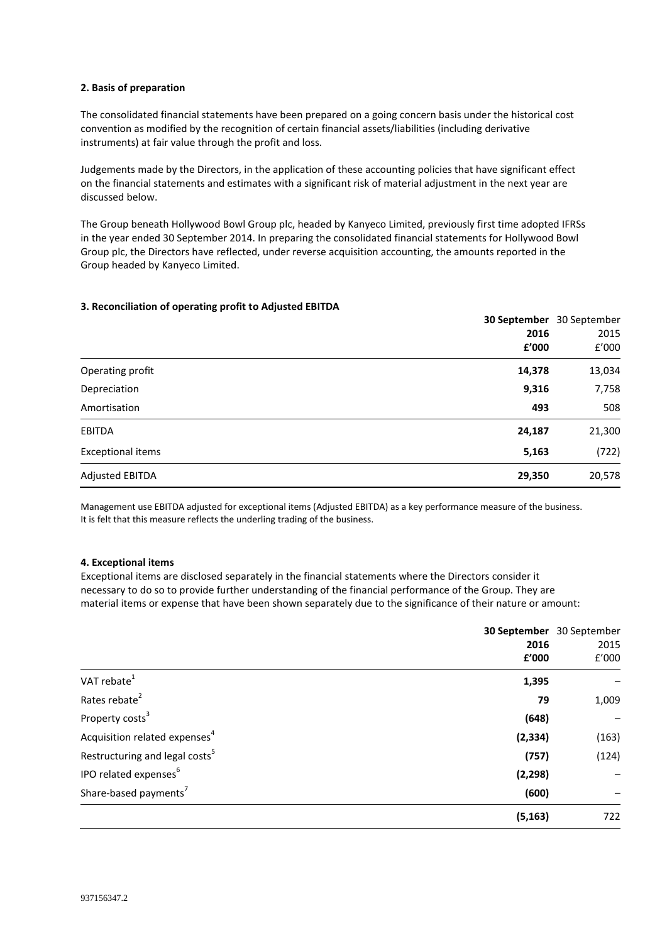#### **2. Basis of preparation**

The consolidated financial statements have been prepared on a going concern basis under the historical cost convention as modified by the recognition of certain financial assets/liabilities (including derivative instruments) at fair value through the profit and loss.

Judgements made by the Directors, in the application of these accounting policies that have significant effect on the financial statements and estimates with a significant risk of material adjustment in the next year are discussed below.

The Group beneath Hollywood Bowl Group plc, headed by Kanyeco Limited, previously first time adopted IFRSs in the year ended 30 September 2014. In preparing the consolidated financial statements for Hollywood Bowl Group plc, the Directors have reflected, under reverse acquisition accounting, the amounts reported in the Group headed by Kanyeco Limited.

### **3. Reconciliation of operating profit to Adjusted EBITDA**

|                          |        | <b>30 September</b> 30 September |
|--------------------------|--------|----------------------------------|
|                          | 2016   | 2015                             |
|                          | £'000  | f'000                            |
| Operating profit         | 14,378 | 13,034                           |
| Depreciation             | 9,316  | 7,758                            |
| Amortisation             | 493    | 508                              |
| <b>EBITDA</b>            | 24,187 | 21,300                           |
| <b>Exceptional items</b> | 5,163  | (722)                            |
| <b>Adjusted EBITDA</b>   | 29,350 | 20,578                           |

Management use EBITDA adjusted for exceptional items (Adjusted EBITDA) as a key performance measure of the business. It is felt that this measure reflects the underling trading of the business.

#### **4. Exceptional items**

Exceptional items are disclosed separately in the financial statements where the Directors consider it necessary to do so to provide further understanding of the financial performance of the Group. They are material items or expense that have been shown separately due to the significance of their nature or amount:

|                                            |          | 30 September 30 September |
|--------------------------------------------|----------|---------------------------|
|                                            | 2016     | 2015                      |
|                                            | £'000    | f'000                     |
| VAT rebate <sup>1</sup>                    | 1,395    |                           |
| Rates rebate <sup>2</sup>                  | 79       | 1,009                     |
| Property costs <sup>3</sup>                | (648)    |                           |
| Acquisition related expenses <sup>4</sup>  | (2, 334) | (163)                     |
| Restructuring and legal costs <sup>5</sup> | (757)    | (124)                     |
| IPO related expenses <sup>6</sup>          | (2, 298) |                           |
| Share-based payments <sup>7</sup>          | (600)    |                           |
|                                            | (5, 163) | 722                       |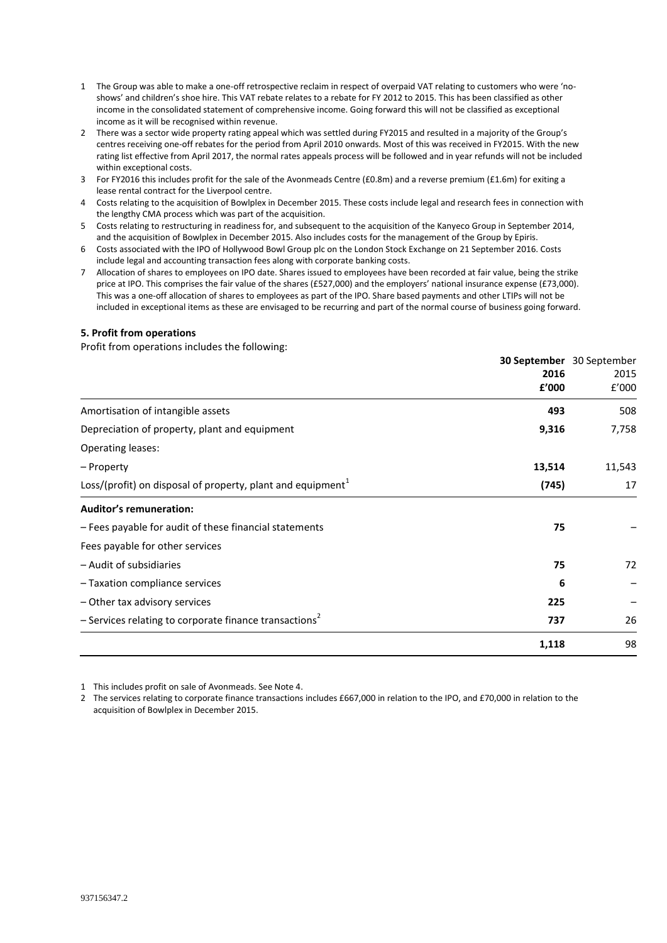- 1 The Group was able to make a one-off retrospective reclaim in respect of overpaid VAT relating to customers who were 'noshows' and children's shoe hire. This VAT rebate relates to a rebate for FY 2012 to 2015. This has been classified as other income in the consolidated statement of comprehensive income. Going forward this will not be classified as exceptional income as it will be recognised within revenue.
- 2 There was a sector wide property rating appeal which was settled during FY2015 and resulted in a majority of the Group's centres receiving one-off rebates for the period from April 2010 onwards. Most of this was received in FY2015. With the new rating list effective from April 2017, the normal rates appeals process will be followed and in year refunds will not be included within exceptional costs.
- 3 For FY2016 this includes profit for the sale of the Avonmeads Centre (£0.8m) and a reverse premium (£1.6m) for exiting a lease rental contract for the Liverpool centre.
- 4 Costs relating to the acquisition of Bowlplex in December 2015. These costs include legal and research fees in connection with the lengthy CMA process which was part of the acquisition.
- 5 Costs relating to restructuring in readiness for, and subsequent to the acquisition of the Kanyeco Group in September 2014, and the acquisition of Bowlplex in December 2015. Also includes costs for the management of the Group by Epiris.
- 6 Costs associated with the IPO of Hollywood Bowl Group plc on the London Stock Exchange on 21 September 2016. Costs include legal and accounting transaction fees along with corporate banking costs.
- 7 Allocation of shares to employees on IPO date. Shares issued to employees have been recorded at fair value, being the strike price at IPO. This comprises the fair value of the shares (£527,000) and the employers' national insurance expense (£73,000). This was a one-off allocation of shares to employees as part of the IPO. Share based payments and other LTIPs will not be included in exceptional items as these are envisaged to be recurring and part of the normal course of business going forward.

#### **5. Profit from operations**

Profit from operations includes the following:

| 30 September 30 September                                                        |        |
|----------------------------------------------------------------------------------|--------|
| 2016                                                                             | 2015   |
| £'000                                                                            | f'000  |
| Amortisation of intangible assets<br>493                                         | 508    |
| 9,316<br>Depreciation of property, plant and equipment                           | 7,758  |
| Operating leases:                                                                |        |
| 13,514<br>- Property                                                             | 11,543 |
| Loss/(profit) on disposal of property, plant and equipment <sup>1</sup><br>(745) | 17     |
| <b>Auditor's remuneration:</b>                                                   |        |
| - Fees payable for audit of these financial statements<br>75                     |        |
| Fees payable for other services                                                  |        |
| - Audit of subsidiaries<br>75                                                    | 72     |
| 6<br>- Taxation compliance services                                              |        |
| - Other tax advisory services<br>225                                             |        |
| $-$ Services relating to corporate finance transactions <sup>2</sup><br>737      | 26     |
| 1,118                                                                            | 98     |

1 This includes profit on sale of Avonmeads. See Note 4.

2 The services relating to corporate finance transactions includes £667,000 in relation to the IPO, and £70,000 in relation to the acquisition of Bowlplex in December 2015.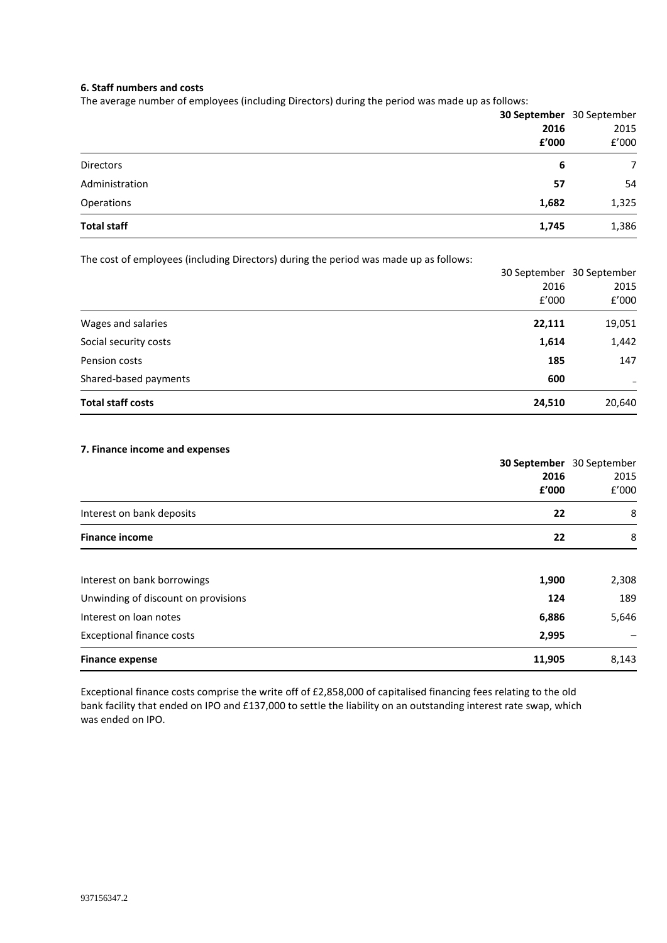#### **6. Staff numbers and costs**

The average number of employees (including Directors) during the period was made up as follows:

|                    | 30 September 30 September |       |
|--------------------|---------------------------|-------|
|                    | 2016                      | 2015  |
|                    | £'000                     | f'000 |
| <b>Directors</b>   | 6                         | 7     |
| Administration     | 57                        | 54    |
| Operations         | 1,682                     | 1,325 |
| <b>Total staff</b> | 1,745                     | 1,386 |

The cost of employees (including Directors) during the period was made up as follows:

|                          |        | 30 September 30 September |
|--------------------------|--------|---------------------------|
|                          | 2016   | 2015                      |
|                          | f'000  | f'000                     |
| Wages and salaries       | 22,111 | 19,051                    |
| Social security costs    | 1,614  | 1,442                     |
| Pension costs            | 185    | 147                       |
| Shared-based payments    | 600    | $\overline{\phantom{0}}$  |
| <b>Total staff costs</b> | 24,510 | 20,640                    |

#### **7. Finance income and expenses**

|                                            | <b>30 September</b> 30 September |
|--------------------------------------------|----------------------------------|
| 2016                                       | 2015                             |
| £'000                                      | f'000                            |
| Interest on bank deposits<br>22            | 8                                |
| <b>Finance income</b><br>22                | 8                                |
| Interest on bank borrowings<br>1,900       | 2,308                            |
| Unwinding of discount on provisions<br>124 | 189                              |
| Interest on loan notes<br>6,886            | 5,646                            |
| <b>Exceptional finance costs</b><br>2,995  |                                  |
| 11,905<br><b>Finance expense</b>           | 8,143                            |

Exceptional finance costs comprise the write off of £2,858,000 of capitalised financing fees relating to the old bank facility that ended on IPO and £137,000 to settle the liability on an outstanding interest rate swap, which was ended on IPO.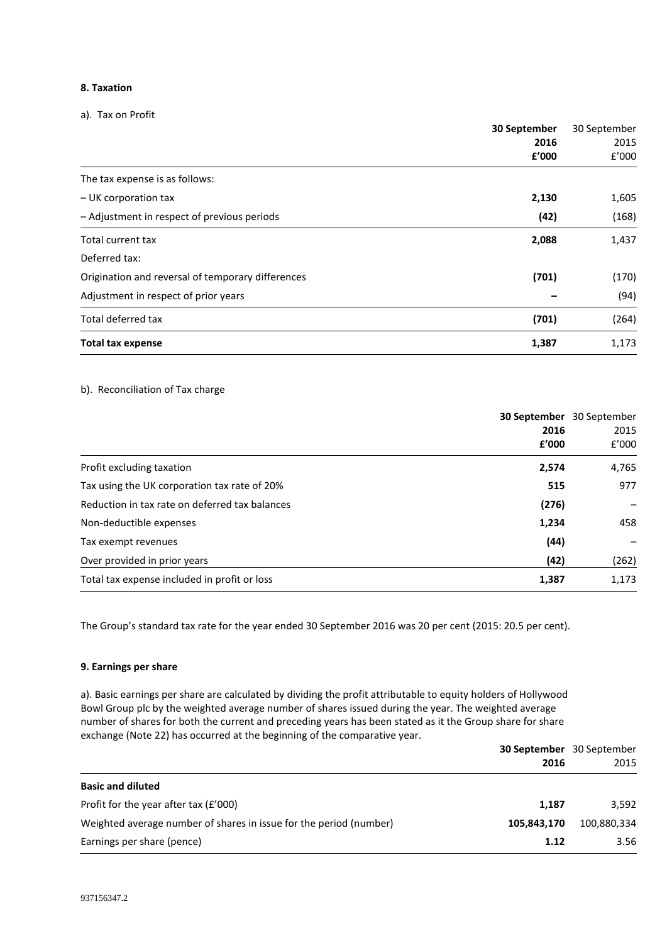#### **8. Taxation**

a). Tax on Profit

|                                                   | 30 September | 30 September |
|---------------------------------------------------|--------------|--------------|
|                                                   | 2016         | 2015         |
|                                                   | £'000        | f'000        |
| The tax expense is as follows:                    |              |              |
| - UK corporation tax                              | 2,130        | 1,605        |
| - Adjustment in respect of previous periods       | (42)         | (168)        |
| Total current tax                                 | 2,088        | 1,437        |
| Deferred tax:                                     |              |              |
| Origination and reversal of temporary differences | (701)        | (170)        |
| Adjustment in respect of prior years              |              | (94)         |
| Total deferred tax                                | (701)        | (264)        |
| <b>Total tax expense</b>                          | 1,387        | 1,173        |

#### b). Reconciliation of Tax charge

| 30 September<br>2016<br>£'000                           | 30 September<br>2015<br>f'000 |
|---------------------------------------------------------|-------------------------------|
| Profit excluding taxation<br>2,574                      | 4,765                         |
| Tax using the UK corporation tax rate of 20%<br>515     | 977                           |
| Reduction in tax rate on deferred tax balances<br>(276) |                               |
| Non-deductible expenses<br>1,234                        | 458                           |
| (44)<br>Tax exempt revenues                             |                               |
| (42)<br>Over provided in prior years                    | (262)                         |
| Total tax expense included in profit or loss<br>1,387   | 1,173                         |

The Group's standard tax rate for the year ended 30 September 2016 was 20 per cent (2015: 20.5 per cent).

### **9. Earnings per share**

a). Basic earnings per share are calculated by dividing the profit attributable to equity holders of Hollywood Bowl Group plc by the weighted average number of shares issued during the year. The weighted average number of shares for both the current and preceding years has been stated as it the Group share for share exchange (Note 22) has occurred at the beginning of the comparative year.

|                                                                    |             | <b>30 September</b> 30 September |
|--------------------------------------------------------------------|-------------|----------------------------------|
|                                                                    | 2016        | 2015                             |
| <b>Basic and diluted</b>                                           |             |                                  |
| Profit for the year after tax $(f'000)$                            | 1,187       | 3.592                            |
| Weighted average number of shares in issue for the period (number) | 105.843.170 | 100,880,334                      |
| Earnings per share (pence)                                         | 1.12        | 3.56                             |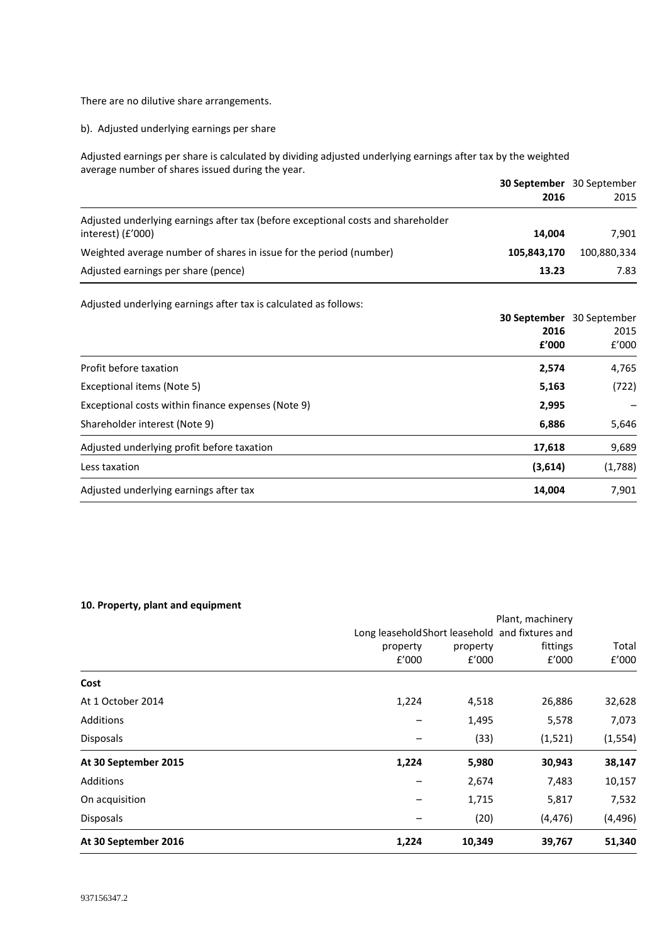There are no dilutive share arrangements.

b). Adjusted underlying earnings per share

Adjusted earnings per share is calculated by dividing adjusted underlying earnings after tax by the weighted average number of shares issued during the year.

|                                                                                                         | <b>30 September</b> 30 September<br>2016 | 2015        |
|---------------------------------------------------------------------------------------------------------|------------------------------------------|-------------|
| Adjusted underlying earnings after tax (before exceptional costs and shareholder<br>interest) $(f'000)$ | 14.004                                   | 7.901       |
| Weighted average number of shares in issue for the period (number)                                      | 105.843.170                              | 100,880,334 |
| Adjusted earnings per share (pence)                                                                     | 13.23                                    | 7.83        |

Adjusted underlying earnings after tax is calculated as follows:

|                                                      |       | <b>30 September</b> 30 September |
|------------------------------------------------------|-------|----------------------------------|
|                                                      | 2016  | 2015                             |
|                                                      | f'000 | f'000                            |
| Profit before taxation                               | 2,574 | 4,765                            |
| Exceptional items (Note 5)                           | 5,163 | (722)                            |
| Exceptional costs within finance expenses (Note 9)   | 2,995 |                                  |
| Shareholder interest (Note 9)                        | 6,886 | 5,646                            |
| Adjusted underlying profit before taxation<br>17,618 |       | 9,689                            |
| (3,614)<br>Less taxation                             |       | (1,788)                          |
| Adjusted underlying earnings after tax<br>14,004     |       | 7,901                            |

### **10. Property, plant and equipment**

| (33)<br>5,980 | (1,521)<br>30,943 | (1, 554)<br>38,147<br>10,157 |
|---------------|-------------------|------------------------------|
| 1,715<br>(20) | 5,817<br>(4, 476) | 7,532<br>(4, 496)            |
|               | 1,495<br>2,674    | 5,578<br>7,483               |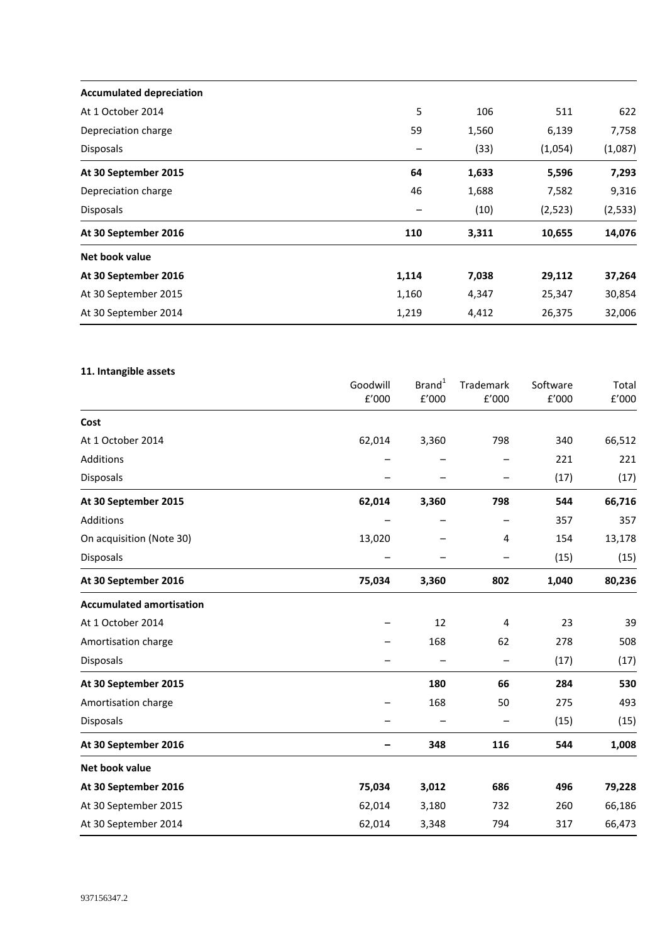| <b>Accumulated depreciation</b> |       |       |         |          |
|---------------------------------|-------|-------|---------|----------|
| At 1 October 2014               | 5     | 106   | 511     | 622      |
| Depreciation charge             | 59    | 1,560 | 6,139   | 7,758    |
| <b>Disposals</b>                |       | (33)  | (1,054) | (1,087)  |
| At 30 September 2015            | 64    | 1,633 | 5,596   | 7,293    |
| Depreciation charge             | 46    | 1,688 | 7,582   | 9,316    |
| <b>Disposals</b>                |       | (10)  | (2,523) | (2, 533) |
| At 30 September 2016            | 110   | 3,311 | 10,655  | 14,076   |
| Net book value                  |       |       |         |          |
| At 30 September 2016            | 1,114 | 7,038 | 29,112  | 37,264   |
| At 30 September 2015            | 1,160 | 4,347 | 25,347  | 30,854   |
| At 30 September 2014            | 1,219 | 4,412 | 26,375  | 32,006   |

# **11. Intangible assets**

|                                 | Goodwill | Brand <sup>1</sup> | Trademark      | Software | Total                 |
|---------------------------------|----------|--------------------|----------------|----------|-----------------------|
|                                 | £'000    | f'000              | f'000          | f'000    | ${\tt f}^{\prime}000$ |
| Cost                            |          |                    |                |          |                       |
| At 1 October 2014               | 62,014   | 3,360              | 798            | 340      | 66,512                |
| Additions                       |          |                    |                | 221      | 221                   |
| Disposals                       |          |                    |                | (17)     | (17)                  |
| At 30 September 2015            | 62,014   | 3,360              | 798            | 544      | 66,716                |
| Additions                       |          |                    |                | 357      | 357                   |
| On acquisition (Note 30)        | 13,020   |                    | 4              | 154      | 13,178                |
| <b>Disposals</b>                |          |                    |                | (15)     | (15)                  |
| At 30 September 2016            | 75,034   | 3,360              | 802            | 1,040    | 80,236                |
| <b>Accumulated amortisation</b> |          |                    |                |          |                       |
| At 1 October 2014               |          | 12                 | $\overline{4}$ | 23       | 39                    |
| Amortisation charge             |          | 168                | 62             | 278      | 508                   |
| Disposals                       |          |                    |                | (17)     | (17)                  |
| At 30 September 2015            |          | 180                | 66             | 284      | 530                   |
| Amortisation charge             |          | 168                | 50             | 275      | 493                   |
| <b>Disposals</b>                |          |                    |                | (15)     | (15)                  |
| At 30 September 2016            |          | 348                | 116            | 544      | 1,008                 |
| Net book value                  |          |                    |                |          |                       |
| At 30 September 2016            | 75,034   | 3,012              | 686            | 496      | 79,228                |
| At 30 September 2015            | 62,014   | 3,180              | 732            | 260      | 66,186                |
| At 30 September 2014            | 62,014   | 3,348              | 794            | 317      | 66,473                |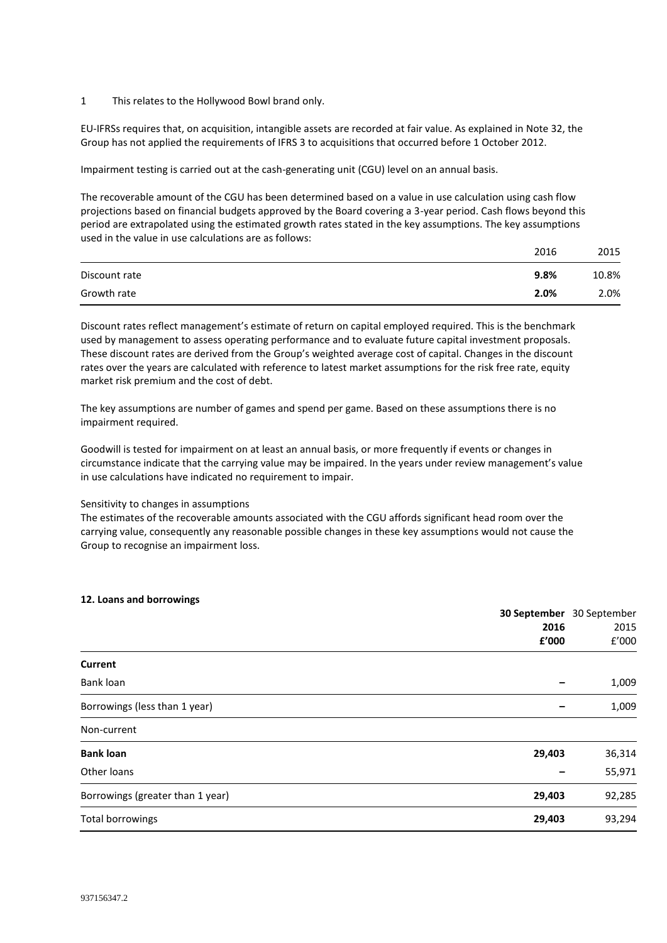1 This relates to the Hollywood Bowl brand only.

EU-IFRSs requires that, on acquisition, intangible assets are recorded at fair value. As explained in Note 32, the Group has not applied the requirements of IFRS 3 to acquisitions that occurred before 1 October 2012.

Impairment testing is carried out at the cash-generating unit (CGU) level on an annual basis.

The recoverable amount of the CGU has been determined based on a value in use calculation using cash flow projections based on financial budgets approved by the Board covering a 3-year period. Cash flows beyond this period are extrapolated using the estimated growth rates stated in the key assumptions. The key assumptions used in the value in use calculations are as follows:

|               | 2016 | 2015  |
|---------------|------|-------|
| Discount rate | 9.8% | 10.8% |
| Growth rate   | 2.0% | 2.0%  |

Discount rates reflect management's estimate of return on capital employed required. This is the benchmark used by management to assess operating performance and to evaluate future capital investment proposals. These discount rates are derived from the Group's weighted average cost of capital. Changes in the discount rates over the years are calculated with reference to latest market assumptions for the risk free rate, equity market risk premium and the cost of debt.

The key assumptions are number of games and spend per game. Based on these assumptions there is no impairment required.

Goodwill is tested for impairment on at least an annual basis, or more frequently if events or changes in circumstance indicate that the carrying value may be impaired. In the years under review management's value in use calculations have indicated no requirement to impair.

Sensitivity to changes in assumptions

The estimates of the recoverable amounts associated with the CGU affords significant head room over the carrying value, consequently any reasonable possible changes in these key assumptions would not cause the Group to recognise an impairment loss.

|                                  | 30 September 30 September<br>2016 | 2015   |
|----------------------------------|-----------------------------------|--------|
|                                  |                                   |        |
|                                  | £'000                             | f'000  |
| Current                          |                                   |        |
| Bank loan                        |                                   | 1,009  |
| Borrowings (less than 1 year)    |                                   | 1,009  |
| Non-current                      |                                   |        |
| <b>Bank loan</b>                 | 29,403                            | 36,314 |
| Other loans                      |                                   | 55,971 |
| Borrowings (greater than 1 year) | 29,403                            | 92,285 |
| <b>Total borrowings</b>          | 29,403                            | 93,294 |

#### **12. Loans and borrowings**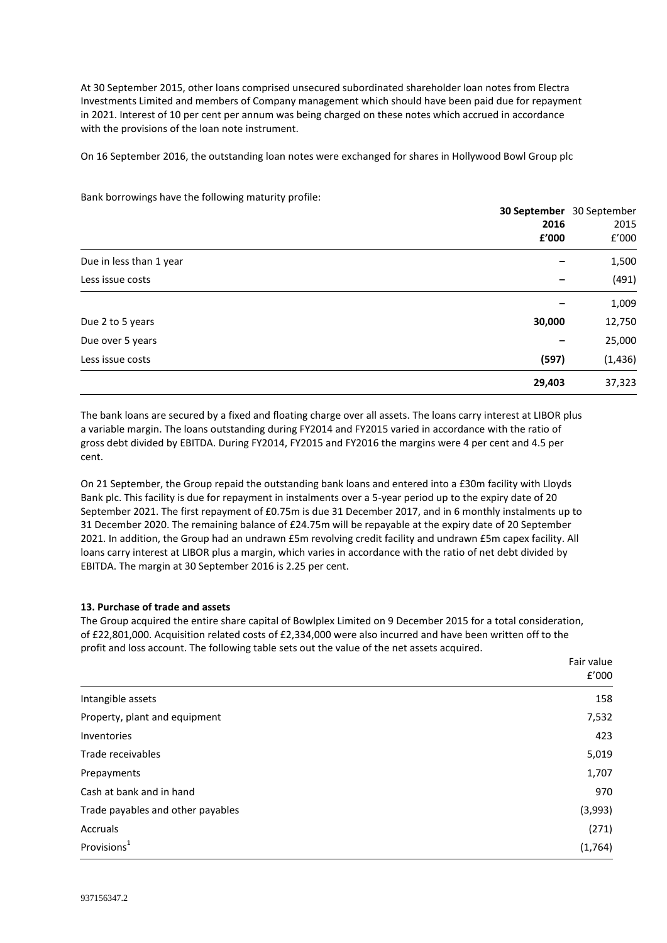At 30 September 2015, other loans comprised unsecured subordinated shareholder loan notes from Electra Investments Limited and members of Company management which should have been paid due for repayment in 2021. Interest of 10 per cent per annum was being charged on these notes which accrued in accordance with the provisions of the loan note instrument.

On 16 September 2016, the outstanding loan notes were exchanged for shares in Hollywood Bowl Group plc

|                         | 30 September 30 September | 2015     |
|-------------------------|---------------------------|----------|
|                         | 2016                      |          |
|                         | £'000                     | f'000    |
| Due in less than 1 year |                           | 1,500    |
| Less issue costs        |                           | (491)    |
|                         |                           | 1,009    |
| Due 2 to 5 years        | 30,000                    | 12,750   |
| Due over 5 years        |                           | 25,000   |
| Less issue costs        | (597)                     | (1, 436) |
|                         | 29,403                    | 37,323   |

Bank borrowings have the following maturity profile:

The bank loans are secured by a fixed and floating charge over all assets. The loans carry interest at LIBOR plus a variable margin. The loans outstanding during FY2014 and FY2015 varied in accordance with the ratio of gross debt divided by EBITDA. During FY2014, FY2015 and FY2016 the margins were 4 per cent and 4.5 per cent.

On 21 September, the Group repaid the outstanding bank loans and entered into a £30m facility with Lloyds Bank plc. This facility is due for repayment in instalments over a 5-year period up to the expiry date of 20 September 2021. The first repayment of £0.75m is due 31 December 2017, and in 6 monthly instalments up to 31 December 2020. The remaining balance of £24.75m will be repayable at the expiry date of 20 September 2021. In addition, the Group had an undrawn £5m revolving credit facility and undrawn £5m capex facility. All loans carry interest at LIBOR plus a margin, which varies in accordance with the ratio of net debt divided by EBITDA. The margin at 30 September 2016 is 2.25 per cent.

#### **13. Purchase of trade and assets**

The Group acquired the entire share capital of Bowlplex Limited on 9 December 2015 for a total consideration, of £22,801,000. Acquisition related costs of £2,334,000 were also incurred and have been written off to the profit and loss account. The following table sets out the value of the net assets acquired.

|                                   | Fair value<br>f'000 |
|-----------------------------------|---------------------|
|                                   |                     |
| Intangible assets                 | 158                 |
| Property, plant and equipment     | 7,532               |
| Inventories                       | 423                 |
| Trade receivables                 | 5,019               |
| Prepayments                       | 1,707               |
| Cash at bank and in hand          | 970                 |
| Trade payables and other payables | (3,993)             |
| Accruals                          | (271)               |
| Provisions <sup>1</sup>           | (1,764)             |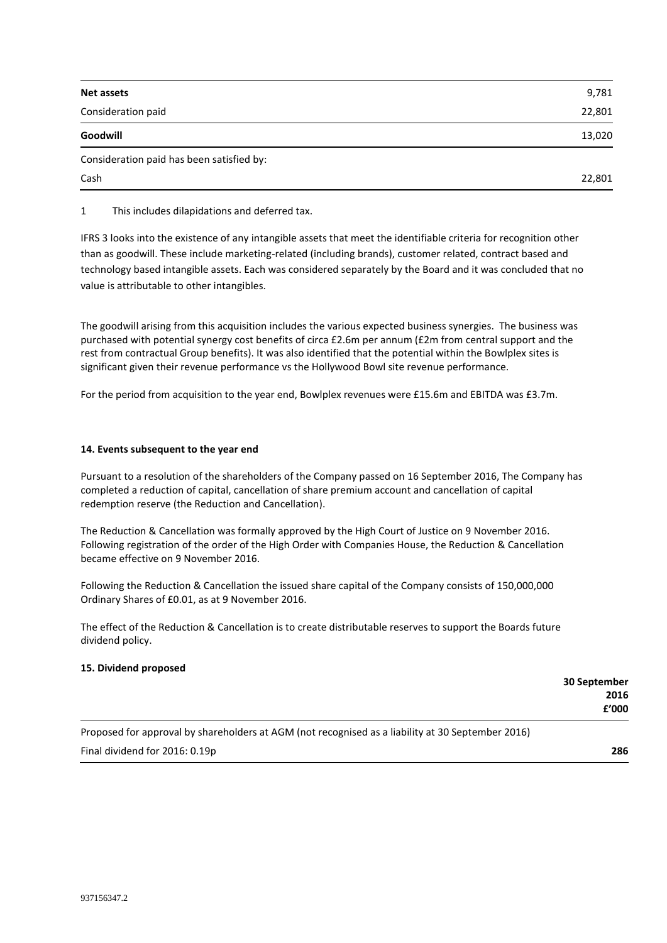| Net assets                                | 9,781  |
|-------------------------------------------|--------|
| Consideration paid                        | 22,801 |
| Goodwill                                  | 13,020 |
| Consideration paid has been satisfied by: |        |
| Cash                                      | 22,801 |

1 This includes dilapidations and deferred tax.

IFRS 3 looks into the existence of any intangible assets that meet the identifiable criteria for recognition other than as goodwill. These include marketing-related (including brands), customer related, contract based and technology based intangible assets. Each was considered separately by the Board and it was concluded that no value is attributable to other intangibles.

The goodwill arising from this acquisition includes the various expected business synergies. The business was purchased with potential synergy cost benefits of circa £2.6m per annum (£2m from central support and the rest from contractual Group benefits). It was also identified that the potential within the Bowlplex sites is significant given their revenue performance vs the Hollywood Bowl site revenue performance.

For the period from acquisition to the year end, Bowlplex revenues were £15.6m and EBITDA was £3.7m.

### **14. Events subsequent to the year end**

Pursuant to a resolution of the shareholders of the Company passed on 16 September 2016, The Company has completed a reduction of capital, cancellation of share premium account and cancellation of capital redemption reserve (the Reduction and Cancellation).

The Reduction & Cancellation was formally approved by the High Court of Justice on 9 November 2016. Following registration of the order of the High Order with Companies House, the Reduction & Cancellation became effective on 9 November 2016.

Following the Reduction & Cancellation the issued share capital of the Company consists of 150,000,000 Ordinary Shares of £0.01, as at 9 November 2016.

The effect of the Reduction & Cancellation is to create distributable reserves to support the Boards future dividend policy.

#### **15. Dividend proposed**

| 30 September |                                                                                                                 |  |        |
|--------------|-----------------------------------------------------------------------------------------------------------------|--|--------|
| 2016         |                                                                                                                 |  |        |
| £'000        |                                                                                                                 |  |        |
|              | the contract of the contract of the contract of the contract of the contract of the contract of the contract of |  | $\sim$ |

Proposed for approval by shareholders at AGM (not recognised as a liability at 30 September 2016) Final dividend for 2016: 0.19p **286**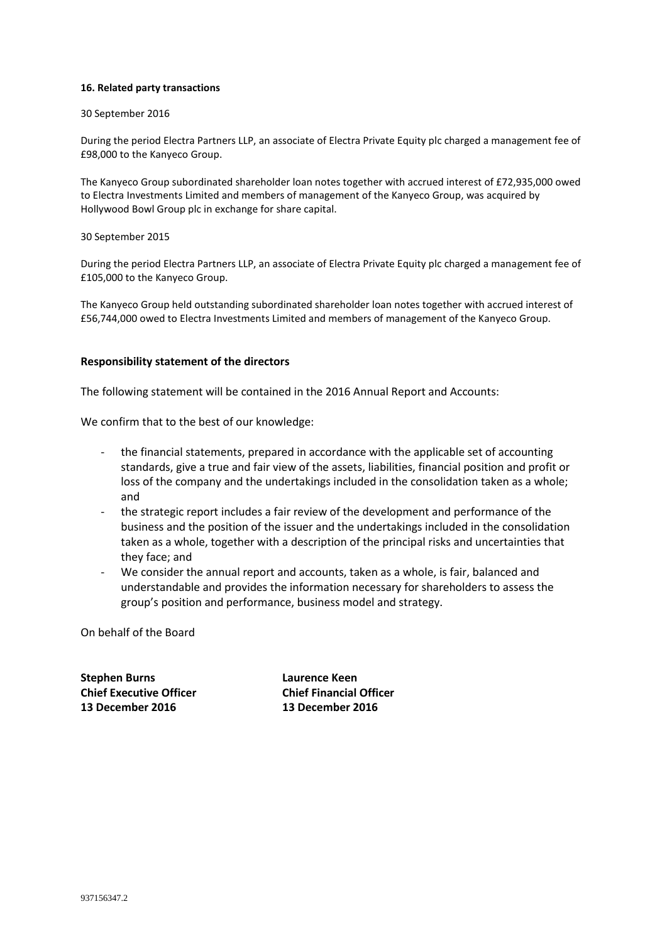#### **16. Related party transactions**

#### 30 September 2016

During the period Electra Partners LLP, an associate of Electra Private Equity plc charged a management fee of £98,000 to the Kanyeco Group.

The Kanyeco Group subordinated shareholder loan notes together with accrued interest of £72,935,000 owed to Electra Investments Limited and members of management of the Kanyeco Group, was acquired by Hollywood Bowl Group plc in exchange for share capital.

#### 30 September 2015

During the period Electra Partners LLP, an associate of Electra Private Equity plc charged a management fee of £105,000 to the Kanyeco Group.

The Kanyeco Group held outstanding subordinated shareholder loan notes together with accrued interest of £56,744,000 owed to Electra Investments Limited and members of management of the Kanyeco Group.

#### **Responsibility statement of the directors**

The following statement will be contained in the 2016 Annual Report and Accounts:

We confirm that to the best of our knowledge:

- the financial statements, prepared in accordance with the applicable set of accounting standards, give a true and fair view of the assets, liabilities, financial position and profit or loss of the company and the undertakings included in the consolidation taken as a whole; and
- the strategic report includes a fair review of the development and performance of the business and the position of the issuer and the undertakings included in the consolidation taken as a whole, together with a description of the principal risks and uncertainties that they face; and
- We consider the annual report and accounts, taken as a whole, is fair, balanced and understandable and provides the information necessary for shareholders to assess the group's position and performance, business model and strategy.

On behalf of the Board

**Stephen Burns Laurence Keen Chief Executive Officer Chief Financial Officer 13 December 2016 13 December 2016**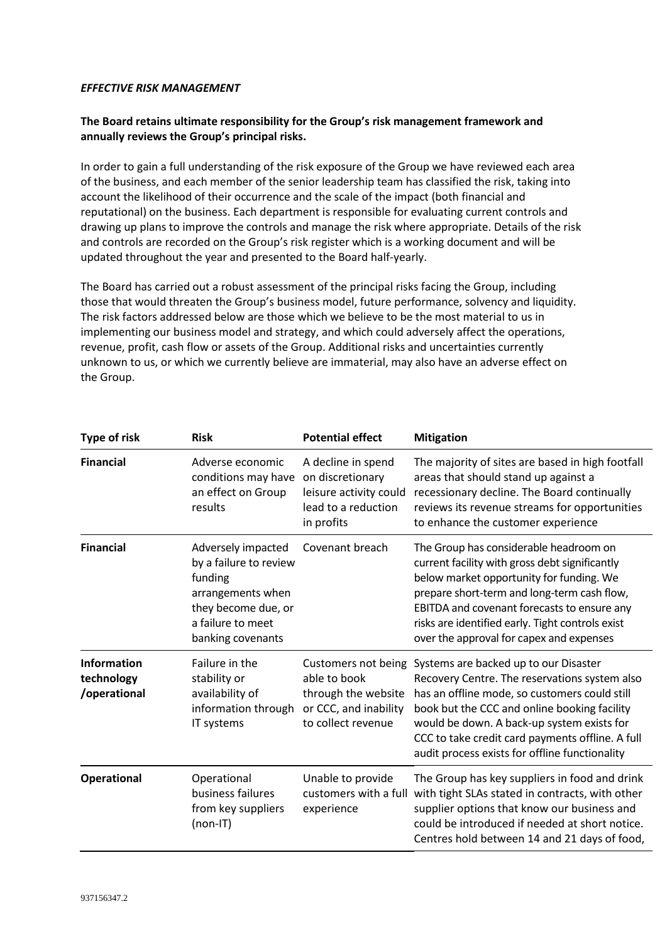### *EFFECTIVE RISK MANAGEMENT*

# **The Board retains ultimate responsibility for the Group's risk management framework and annually reviews the Group's principal risks.**

In order to gain a full understanding of the risk exposure of the Group we have reviewed each area of the business, and each member of the senior leadership team has classified the risk, taking into account the likelihood of their occurrence and the scale of the impact (both financial and reputational) on the business. Each department is responsible for evaluating current controls and drawing up plans to improve the controls and manage the risk where appropriate. Details of the risk and controls are recorded on the Group's risk register which is a working document and will be updated throughout the year and presented to the Board half-yearly.

The Board has carried out a robust assessment of the principal risks facing the Group, including those that would threaten the Group's business model, future performance, solvency and liquidity. The risk factors addressed below are those which we believe to be the most material to us in implementing our business model and strategy, and which could adversely affect the operations, revenue, profit, cash flow or assets of the Group. Additional risks and uncertainties currently unknown to us, or which we currently believe are immaterial, may also have an adverse effect on the Group.

| <b>Type of risk</b>                              | <b>Risk</b>                                                                                                                                   | <b>Potential effect</b>                                                                                   | <b>Mitigation</b>                                                                                                                                                                                                                                                                                                                           |
|--------------------------------------------------|-----------------------------------------------------------------------------------------------------------------------------------------------|-----------------------------------------------------------------------------------------------------------|---------------------------------------------------------------------------------------------------------------------------------------------------------------------------------------------------------------------------------------------------------------------------------------------------------------------------------------------|
| <b>Financial</b>                                 | Adverse economic<br>conditions may have<br>an effect on Group<br>results                                                                      | A decline in spend<br>on discretionary<br>leisure activity could<br>lead to a reduction<br>in profits     | The majority of sites are based in high footfall<br>areas that should stand up against a<br>recessionary decline. The Board continually<br>reviews its revenue streams for opportunities<br>to enhance the customer experience                                                                                                              |
| <b>Financial</b>                                 | Adversely impacted<br>by a failure to review<br>funding<br>arrangements when<br>they become due, or<br>a failure to meet<br>banking covenants | Covenant breach                                                                                           | The Group has considerable headroom on<br>current facility with gross debt significantly<br>below market opportunity for funding. We<br>prepare short-term and long-term cash flow,<br>EBITDA and covenant forecasts to ensure any<br>risks are identified early. Tight controls exist<br>over the approval for capex and expenses          |
| <b>Information</b><br>technology<br>/operational | Failure in the<br>stability or<br>availability of<br>information through<br>IT systems                                                        | Customers not being<br>able to book<br>through the website<br>or CCC, and inability<br>to collect revenue | Systems are backed up to our Disaster<br>Recovery Centre. The reservations system also<br>has an offline mode, so customers could still<br>book but the CCC and online booking facility<br>would be down. A back-up system exists for<br>CCC to take credit card payments offline. A full<br>audit process exists for offline functionality |
| <b>Operational</b>                               | Operational<br>business failures<br>from key suppliers<br>(non-IT)                                                                            | Unable to provide<br>customers with a full<br>experience                                                  | The Group has key suppliers in food and drink<br>with tight SLAs stated in contracts, with other<br>supplier options that know our business and<br>could be introduced if needed at short notice.<br>Centres hold between 14 and 21 days of food,                                                                                           |